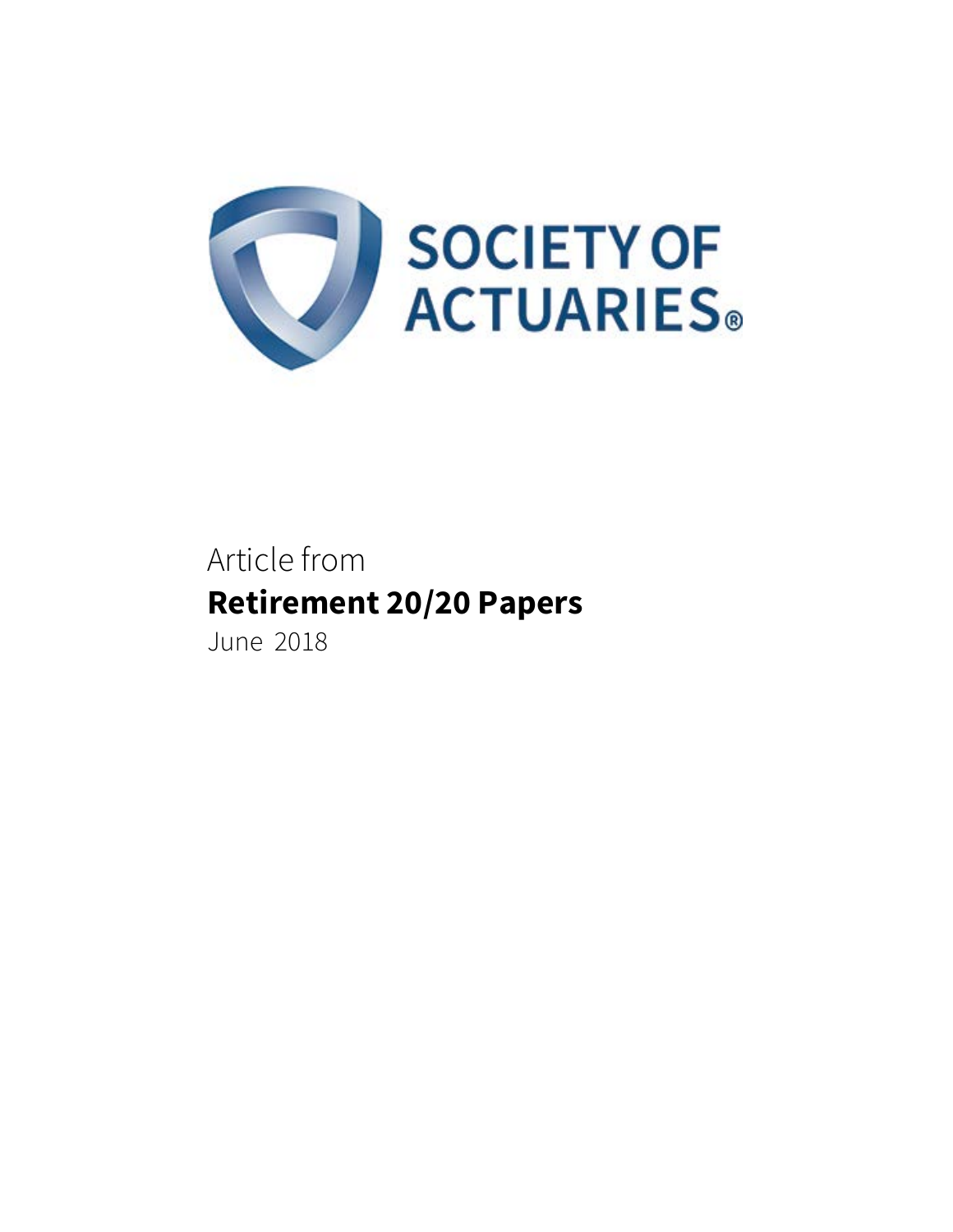

# Article from **Retirement 20/20 Papers**  June 2018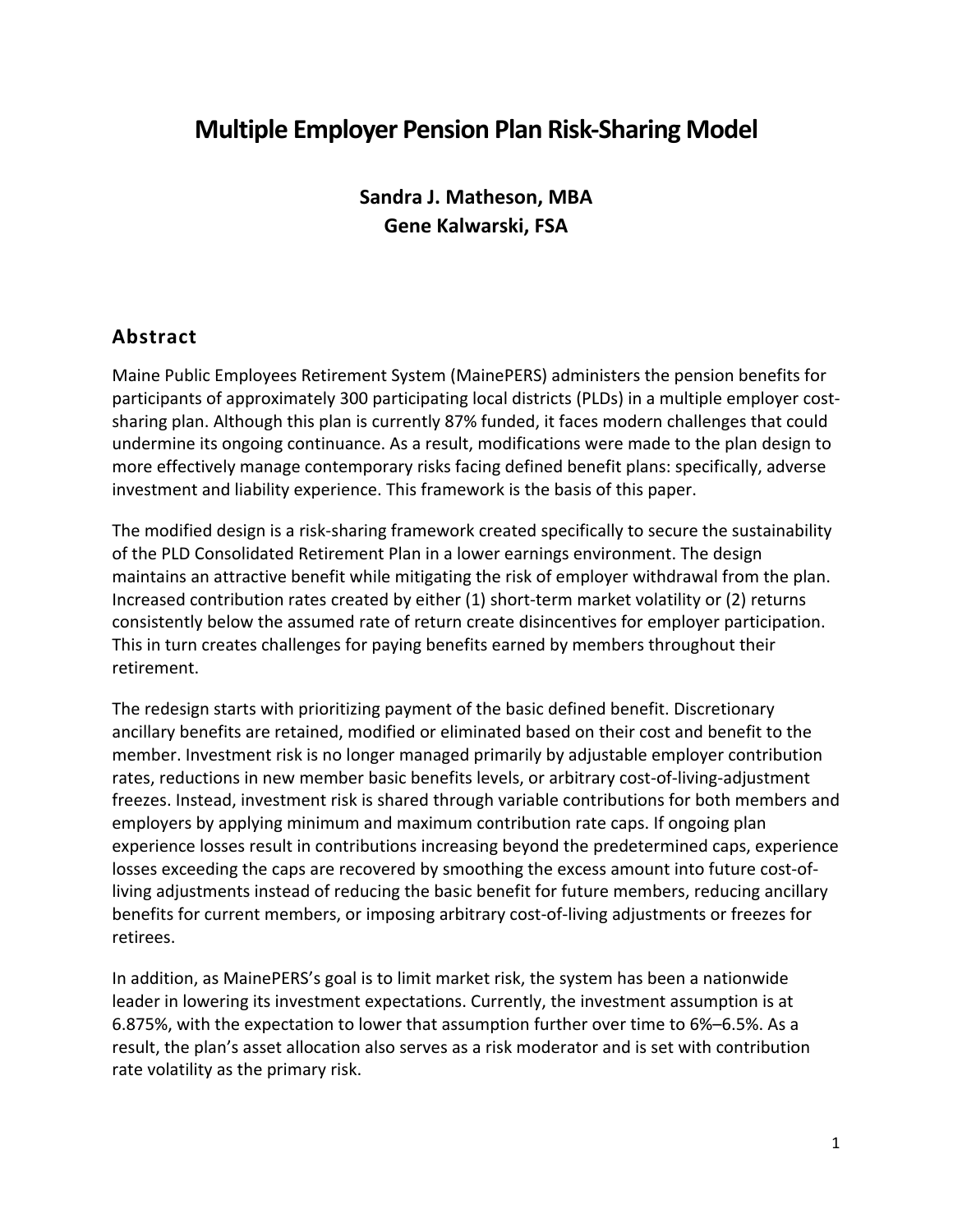# **Multiple Employer Pension Plan Risk-Sharing Model**

**Sandra J. Matheson, MBA Gene Kalwarski, FSA** 

# **Abstract**

Maine Public Employees Retirement System (MainePERS) administers the pension benefits for participants of approximately 300 participating local districts (PLDs) in a multiple employer costsharing plan. Although this plan is currently 87% funded, it faces modern challenges that could undermine its ongoing continuance. As a result, modifications were made to the plan design to more effectively manage contemporary risks facing defined benefit plans: specifically, adverse investment and liability experience. This framework is the basis of this paper.

The modified design is a risk-sharing framework created specifically to secure the sustainability of the PLD Consolidated Retirement Plan in a lower earnings environment. The design maintains an attractive benefit while mitigating the risk of employer withdrawal from the plan. Increased contribution rates created by either (1) short-term market volatility or (2) returns consistently below the assumed rate of return create disincentives for employer participation. This in turn creates challenges for paying benefits earned by members throughout their retirement.

The redesign starts with prioritizing payment of the basic defined benefit. Discretionary ancillary benefits are retained, modified or eliminated based on their cost and benefit to the member. Investment risk is no longer managed primarily by adjustable employer contribution rates, reductions in new member basic benefits levels, or arbitrary cost-of-living-adjustment freezes. Instead, investment risk is shared through variable contributions for both members and employers by applying minimum and maximum contribution rate caps. If ongoing plan experience losses result in contributions increasing beyond the predetermined caps, experience losses exceeding the caps are recovered by smoothing the excess amount into future cost-ofliving adjustments instead of reducing the basic benefit for future members, reducing ancillary benefits for current members, or imposing arbitrary cost-of-living adjustments or freezes for retirees.

In addition, as MainePERS's goal is to limit market risk, the system has been a nationwide leader in lowering its investment expectations. Currently, the investment assumption is at 6.875%, with the expectation to lower that assumption further over time to 6%–6.5%. As a result, the plan's asset allocation also serves as a risk moderator and is set with contribution rate volatility as the primary risk.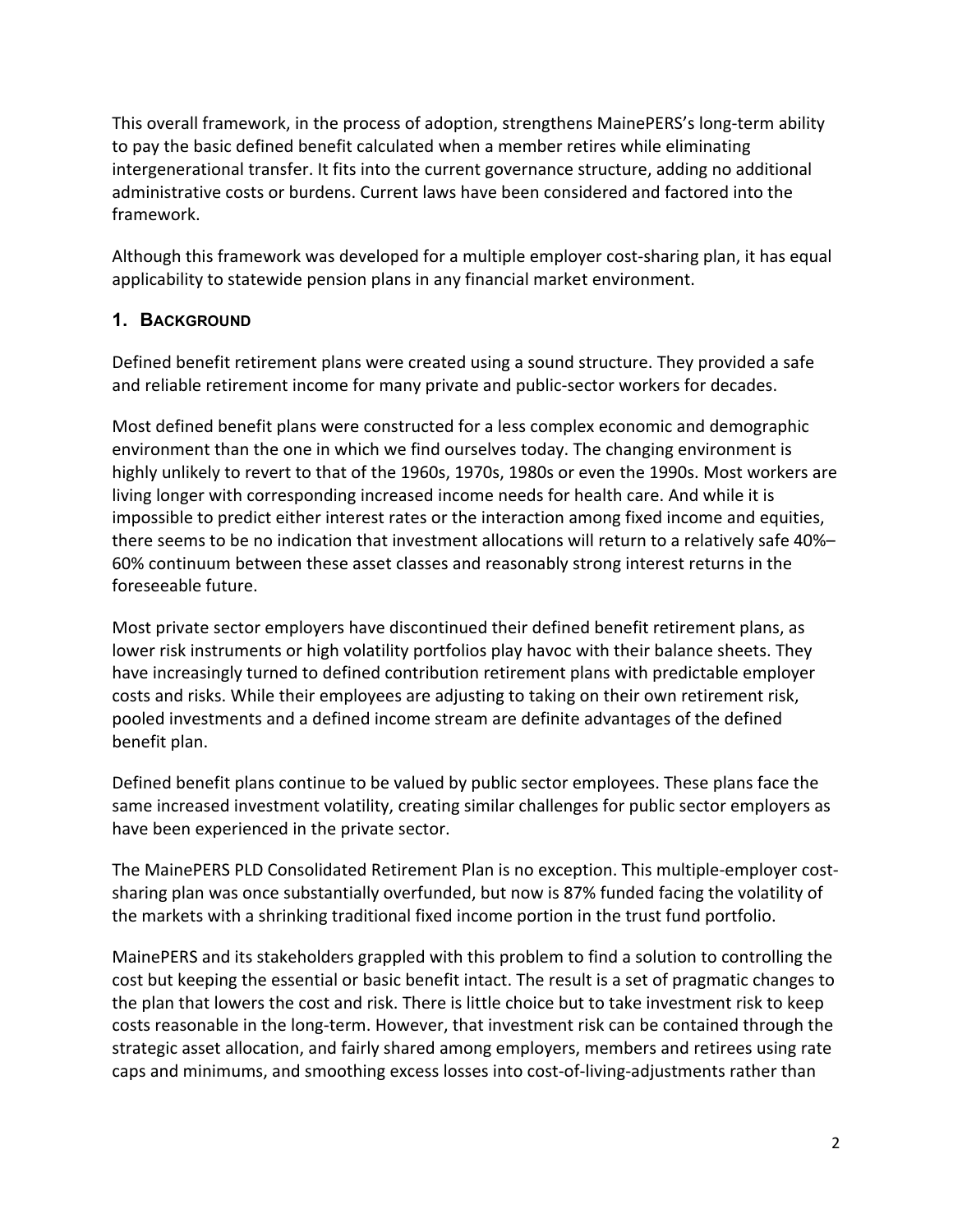This overall framework, in the process of adoption, strengthens MainePERS's long-term ability to pay the basic defined benefit calculated when a member retires while eliminating intergenerational transfer. It fits into the current governance structure, adding no additional administrative costs or burdens. Current laws have been considered and factored into the framework.

Although this framework was developed for a multiple employer cost-sharing plan, it has equal applicability to statewide pension plans in any financial market environment.

# **1. BACKGROUND**

Defined benefit retirement plans were created using a sound structure. They provided a safe and reliable retirement income for many private and public-sector workers for decades.

Most defined benefit plans were constructed for a less complex economic and demographic environment than the one in which we find ourselves today. The changing environment is highly unlikely to revert to that of the 1960s, 1970s, 1980s or even the 1990s. Most workers are living longer with corresponding increased income needs for health care. And while it is impossible to predict either interest rates or the interaction among fixed income and equities, there seems to be no indication that investment allocations will return to a relatively safe 40%– 60% continuum between these asset classes and reasonably strong interest returns in the foreseeable future.

Most private sector employers have discontinued their defined benefit retirement plans, as lower risk instruments or high volatility portfolios play havoc with their balance sheets. They have increasingly turned to defined contribution retirement plans with predictable employer costs and risks. While their employees are adjusting to taking on their own retirement risk, pooled investments and a defined income stream are definite advantages of the defined benefit plan.

Defined benefit plans continue to be valued by public sector employees. These plans face the same increased investment volatility, creating similar challenges for public sector employers as have been experienced in the private sector.

The MainePERS PLD Consolidated Retirement Plan is no exception. This multiple-employer costsharing plan was once substantially overfunded, but now is 87% funded facing the volatility of the markets with a shrinking traditional fixed income portion in the trust fund portfolio.

MainePERS and its stakeholders grappled with this problem to find a solution to controlling the cost but keeping the essential or basic benefit intact. The result is a set of pragmatic changes to the plan that lowers the cost and risk. There is little choice but to take investment risk to keep costs reasonable in the long-term. However, that investment risk can be contained through the strategic asset allocation, and fairly shared among employers, members and retirees using rate caps and minimums, and smoothing excess losses into cost-of-living-adjustments rather than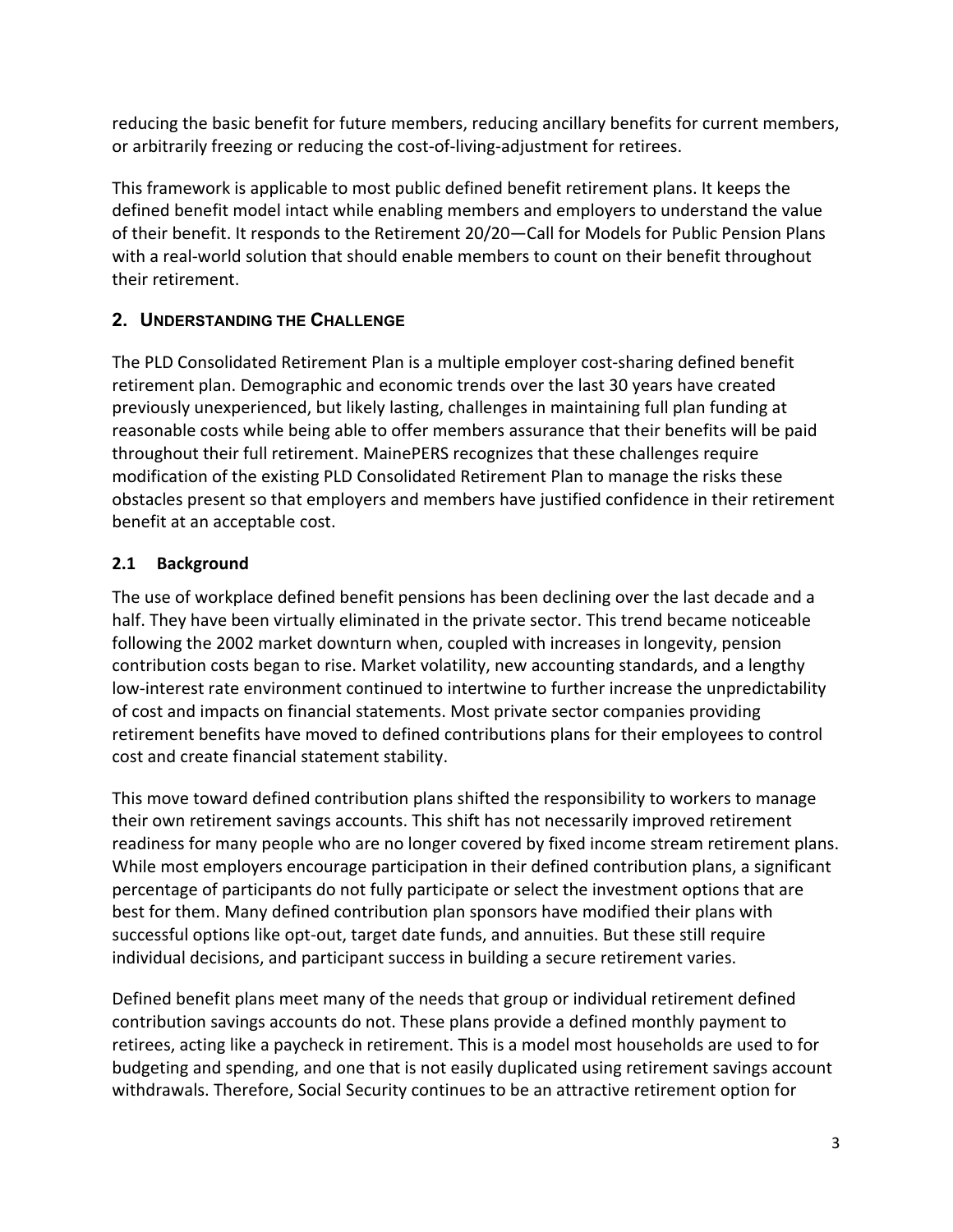reducing the basic benefit for future members, reducing ancillary benefits for current members, or arbitrarily freezing or reducing the cost-of-living-adjustment for retirees.

This framework is applicable to most public defined benefit retirement plans. It keeps the defined benefit model intact while enabling members and employers to understand the value of their benefit. It responds to the Retirement 20/20—Call for Models for Public Pension Plans with a real-world solution that should enable members to count on their benefit throughout their retirement.

# **2. UNDERSTANDING THE CHALLENGE**

The PLD Consolidated Retirement Plan is a multiple employer cost-sharing defined benefit retirement plan. Demographic and economic trends over the last 30 years have created previously unexperienced, but likely lasting, challenges in maintaining full plan funding at reasonable costs while being able to offer members assurance that their benefits will be paid throughout their full retirement. MainePERS recognizes that these challenges require modification of the existing PLD Consolidated Retirement Plan to manage the risks these obstacles present so that employers and members have justified confidence in their retirement benefit at an acceptable cost.

# **2.1 Background**

The use of workplace defined benefit pensions has been declining over the last decade and a half. They have been virtually eliminated in the private sector. This trend became noticeable following the 2002 market downturn when, coupled with increases in longevity, pension contribution costs began to rise. Market volatility, new accounting standards, and a lengthy low-interest rate environment continued to intertwine to further increase the unpredictability of cost and impacts on financial statements. Most private sector companies providing retirement benefits have moved to defined contributions plans for their employees to control cost and create financial statement stability.

This move toward defined contribution plans shifted the responsibility to workers to manage their own retirement savings accounts. This shift has not necessarily improved retirement readiness for many people who are no longer covered by fixed income stream retirement plans. While most employers encourage participation in their defined contribution plans, a significant percentage of participants do not fully participate or select the investment options that are best for them. Many defined contribution plan sponsors have modified their plans with successful options like opt-out, target date funds, and annuities. But these still require individual decisions, and participant success in building a secure retirement varies.

Defined benefit plans meet many of the needs that group or individual retirement defined contribution savings accounts do not. These plans provide a defined monthly payment to retirees, acting like a paycheck in retirement. This is a model most households are used to for budgeting and spending, and one that is not easily duplicated using retirement savings account withdrawals. Therefore, Social Security continues to be an attractive retirement option for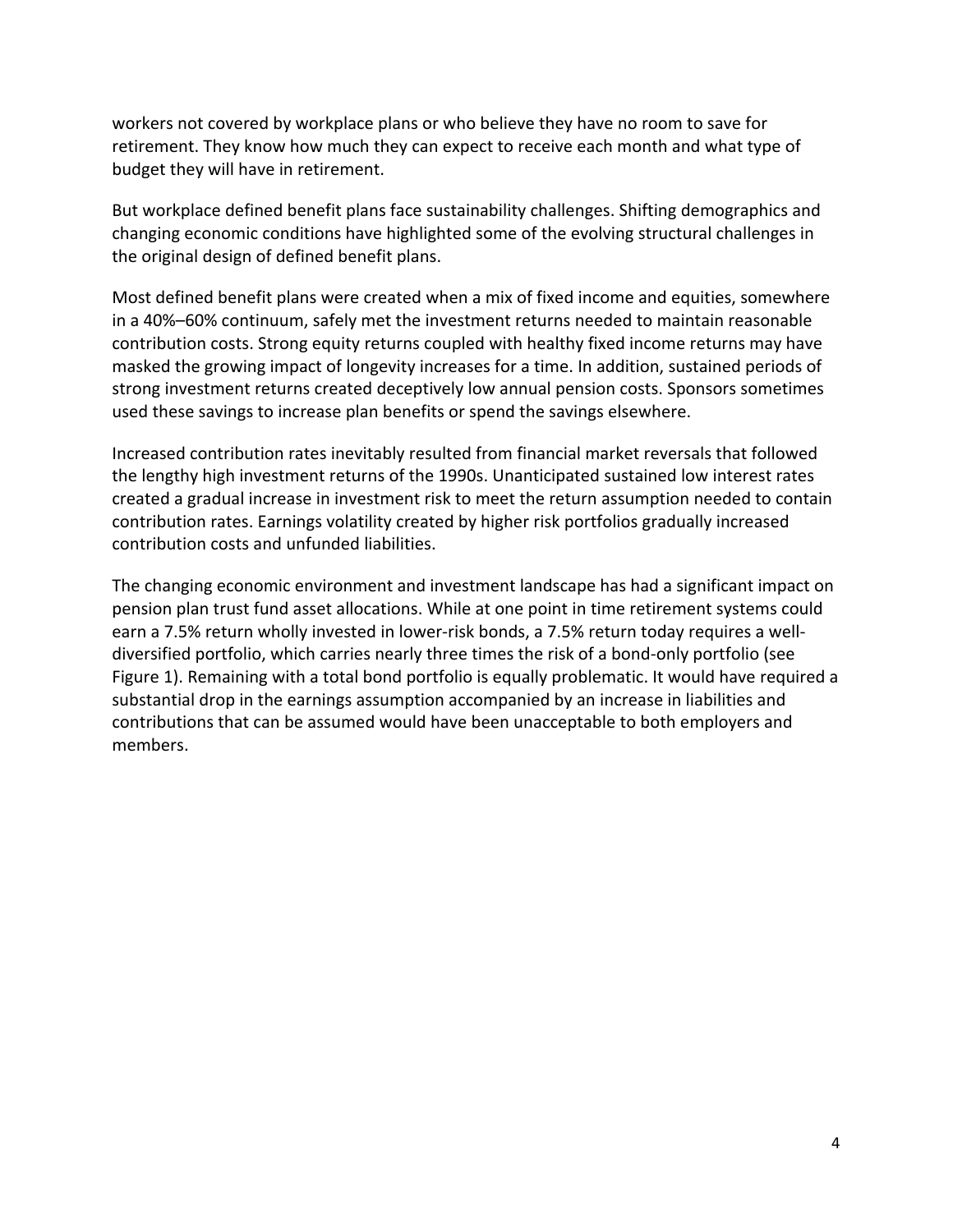workers not covered by workplace plans or who believe they have no room to save for retirement. They know how much they can expect to receive each month and what type of budget they will have in retirement.

But workplace defined benefit plans face sustainability challenges. Shifting demographics and changing economic conditions have highlighted some of the evolving structural challenges in the original design of defined benefit plans.

Most defined benefit plans were created when a mix of fixed income and equities, somewhere in a 40%–60% continuum, safely met the investment returns needed to maintain reasonable contribution costs. Strong equity returns coupled with healthy fixed income returns may have masked the growing impact of longevity increases for a time. In addition, sustained periods of strong investment returns created deceptively low annual pension costs. Sponsors sometimes used these savings to increase plan benefits or spend the savings elsewhere.

Increased contribution rates inevitably resulted from financial market reversals that followed the lengthy high investment returns of the 1990s. Unanticipated sustained low interest rates created a gradual increase in investment risk to meet the return assumption needed to contain contribution rates. Earnings volatility created by higher risk portfolios gradually increased contribution costs and unfunded liabilities.

The changing economic environment and investment landscape has had a significant impact on pension plan trust fund asset allocations. While at one point in time retirement systems could earn a 7.5% return wholly invested in lower-risk bonds, a 7.5% return today requires a welldiversified portfolio, which carries nearly three times the risk of a bond-only portfolio (see Figure 1). Remaining with a total bond portfolio is equally problematic. It would have required a substantial drop in the earnings assumption accompanied by an increase in liabilities and contributions that can be assumed would have been unacceptable to both employers and members.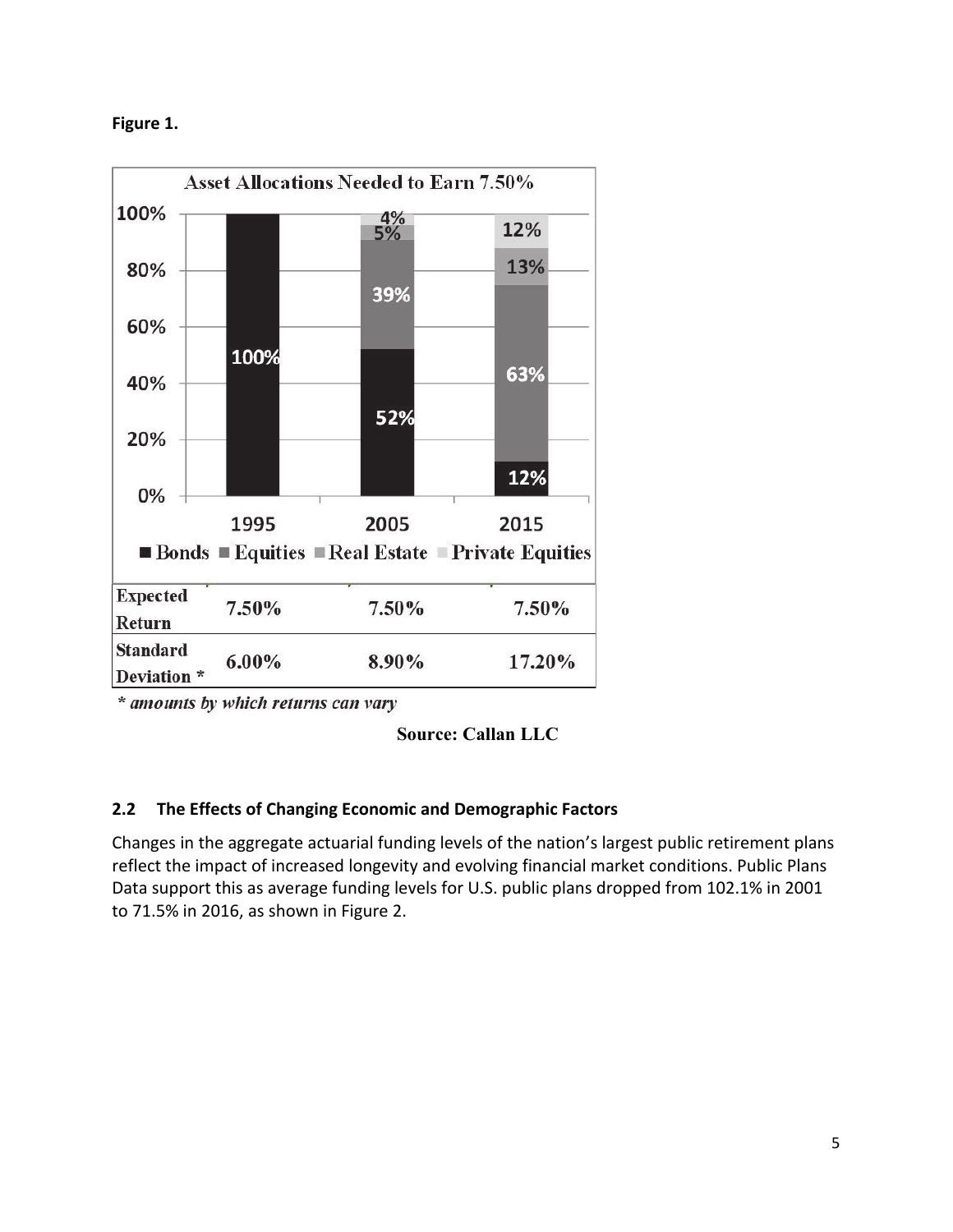**Figure 1.** 



\* amounts by which returns can vary

### **Source: Callan LLC**

### **2.2 The Effects of Changing Economic and Demographic Factors**

Changes in the aggregate actuarial funding levels of the nation's largest public retirement plans reflect the impact of increased longevity and evolving financial market conditions. Public Plans Data support this as average funding levels for U.S. public plans dropped from 102.1% in 2001 to 71.5% in 2016, as shown in Figure 2.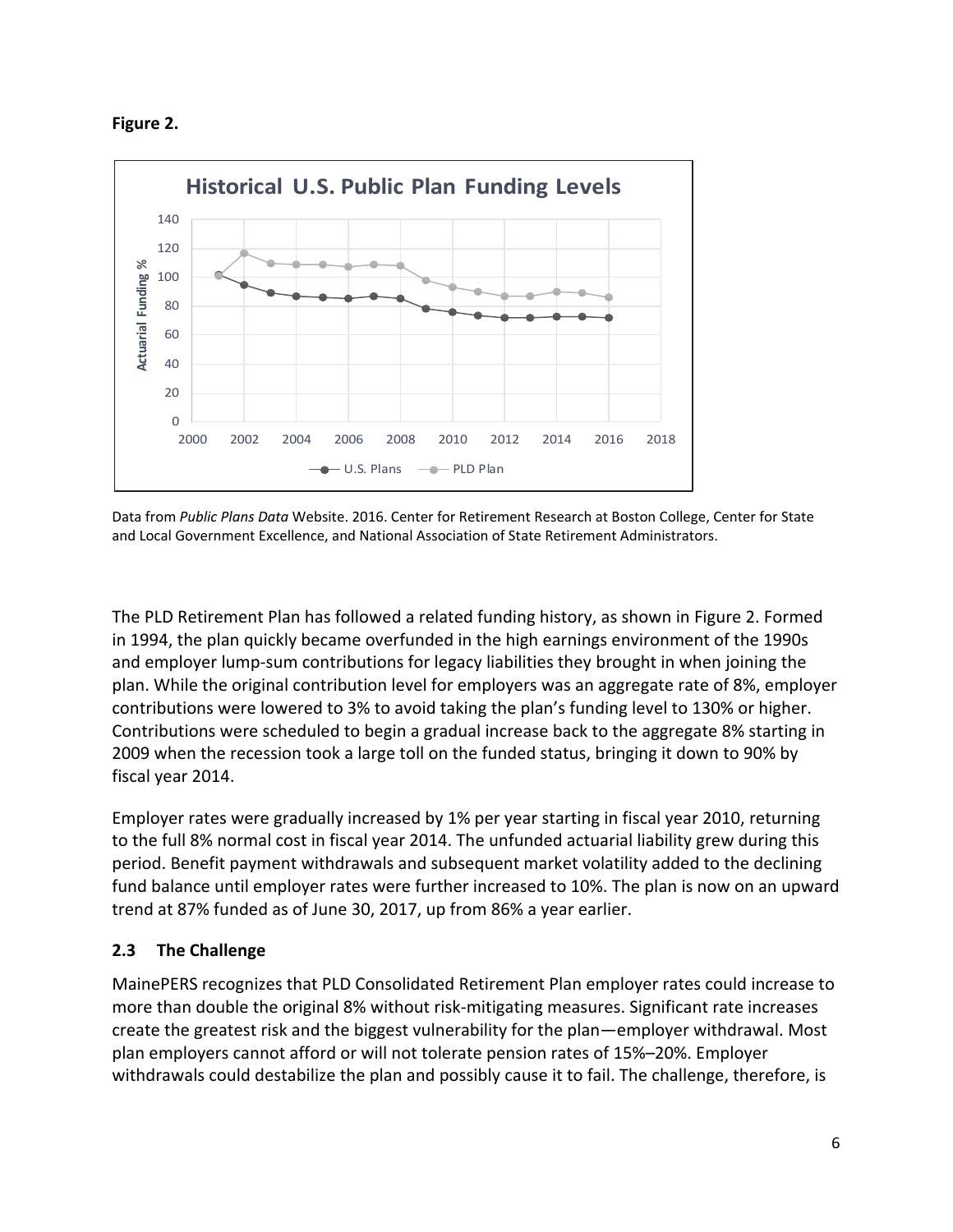



Data from *Public Plans Data* Website. 2016. Center for Retirement Research at Boston College, Center for State and Local Government Excellence, and National Association of State Retirement Administrators.

The PLD Retirement Plan has followed a related funding history, as shown in Figure 2. Formed in 1994, the plan quickly became overfunded in the high earnings environment of the 1990s and employer lump-sum contributions for legacy liabilities they brought in when joining the plan. While the original contribution level for employers was an aggregate rate of 8%, employer contributions were lowered to 3% to avoid taking the plan's funding level to 130% or higher. Contributions were scheduled to begin a gradual increase back to the aggregate 8% starting in 2009 when the recession took a large toll on the funded status, bringing it down to 90% by fiscal year 2014.

Employer rates were gradually increased by 1% per year starting in fiscal year 2010, returning to the full 8% normal cost in fiscal year 2014. The unfunded actuarial liability grew during this period. Benefit payment withdrawals and subsequent market volatility added to the declining fund balance until employer rates were further increased to 10%. The plan is now on an upward trend at 87% funded as of June 30, 2017, up from 86% a year earlier.

# **2.3 The Challenge**

MainePERS recognizes that PLD Consolidated Retirement Plan employer rates could increase to more than double the original 8% without risk-mitigating measures. Significant rate increases create the greatest risk and the biggest vulnerability for the plan—employer withdrawal. Most plan employers cannot afford or will not tolerate pension rates of 15%–20%. Employer withdrawals could destabilize the plan and possibly cause it to fail. The challenge, therefore, is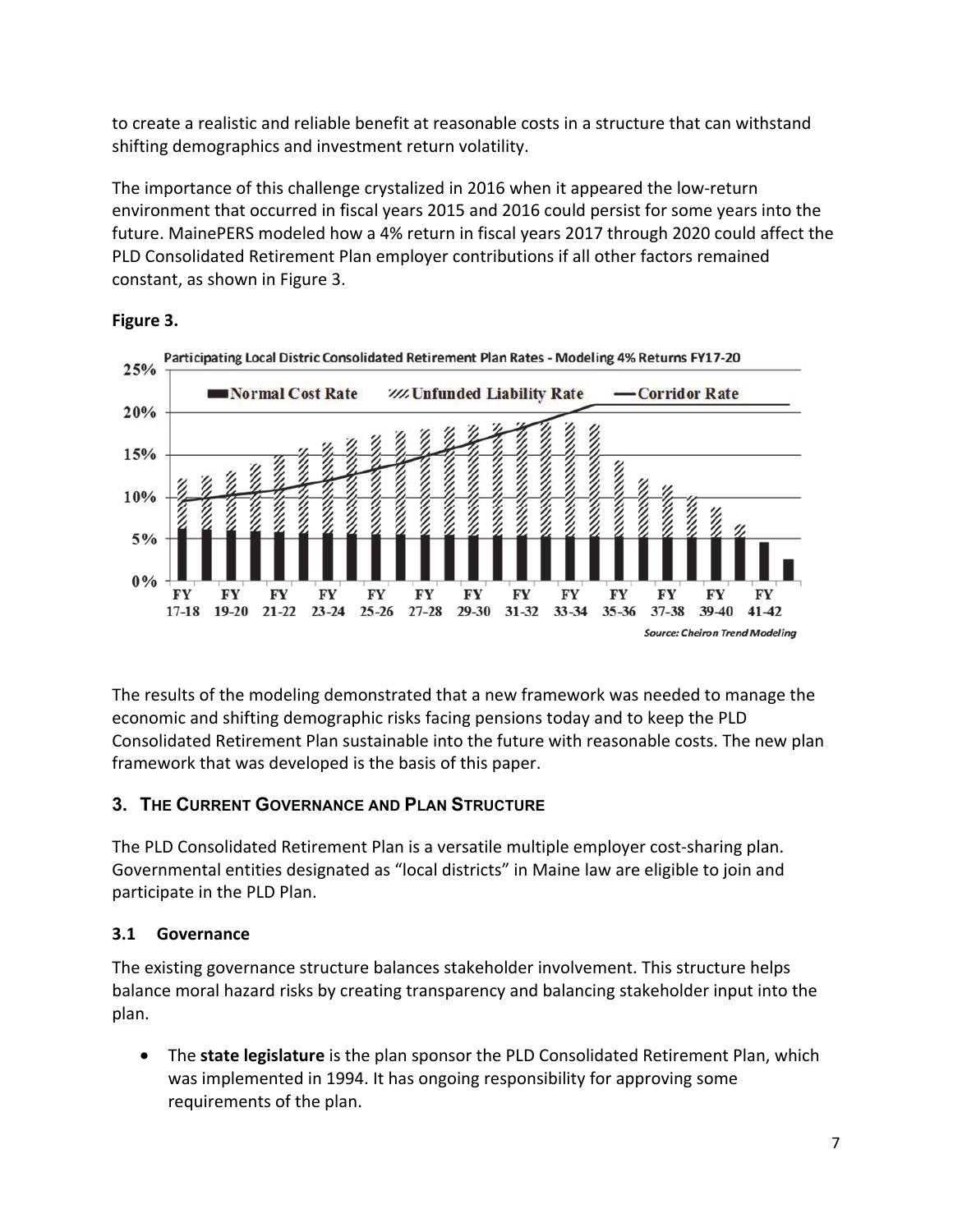to create a realistic and reliable benefit at reasonable costs in a structure that can withstand shifting demographics and investment return volatility.

The importance of this challenge crystalized in 2016 when it appeared the low-return environment that occurred in fiscal years 2015 and 2016 could persist for some years into the future. MainePERS modeled how a 4% return in fiscal years 2017 through 2020 could affect the PLD Consolidated Retirement Plan employer contributions if all other factors remained constant, as shown in Figure 3.



### **Figure 3.**

The results of the modeling demonstrated that a new framework was needed to manage the economic and shifting demographic risks facing pensions today and to keep the PLD Consolidated Retirement Plan sustainable into the future with reasonable costs. The new plan framework that was developed is the basis of this paper.

# **3. THE CURRENT GOVERNANCE AND PLAN STRUCTURE**

The PLD Consolidated Retirement Plan is a versatile multiple employer cost-sharing plan. Governmental entities designated as "local districts" in Maine law are eligible to join and participate in the PLD Plan.

# **3.1 Governance**

The existing governance structure balances stakeholder involvement. This structure helps balance moral hazard risks by creating transparency and balancing stakeholder input into the plan.

• The **state legislature** is the plan sponsor the PLD Consolidated Retirement Plan, which was implemented in 1994. It has ongoing responsibility for approving some requirements of the plan.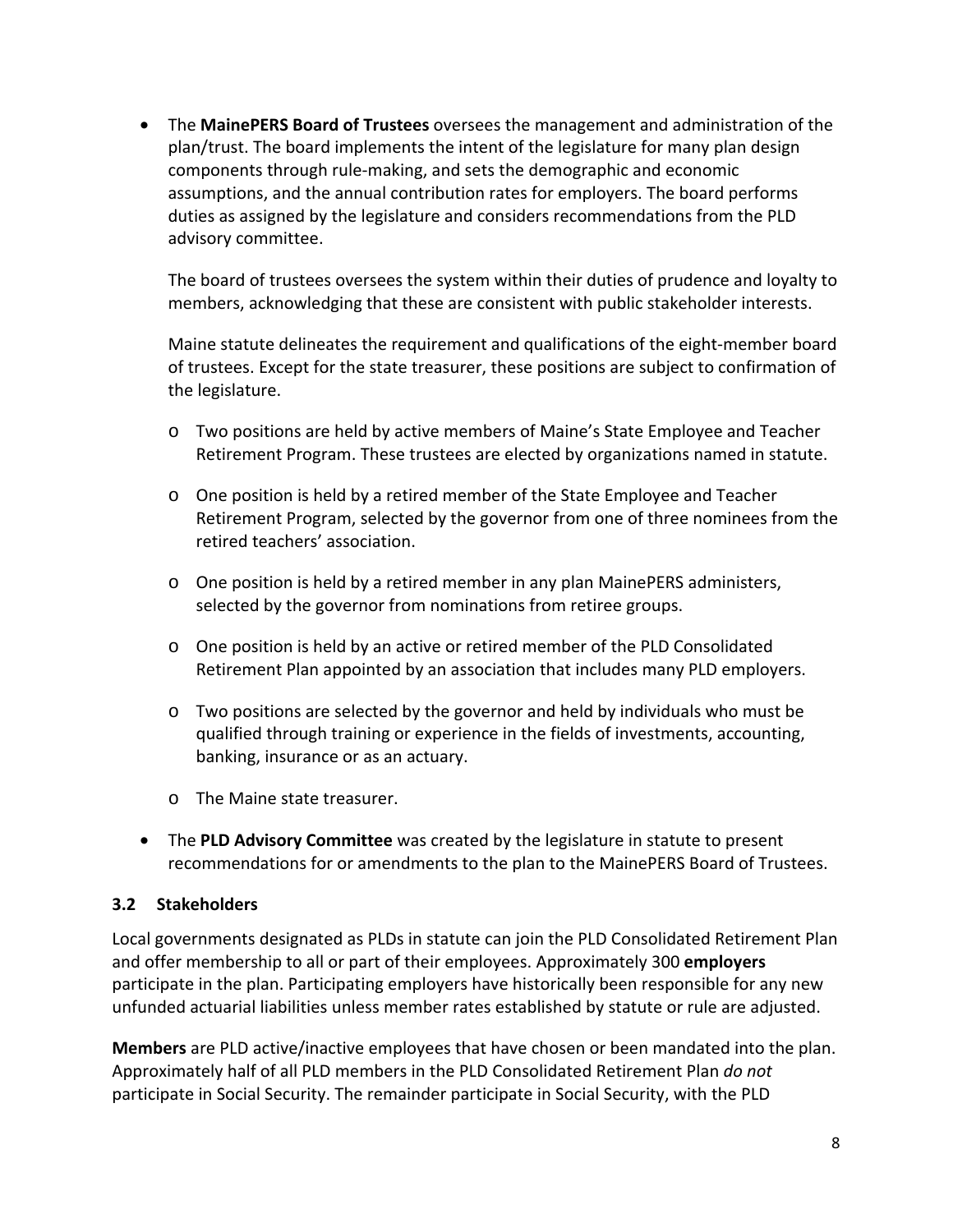• The **MainePERS Board of Trustees** oversees the management and administration of the plan/trust. The board implements the intent of the legislature for many plan design components through rule-making, and sets the demographic and economic assumptions, and the annual contribution rates for employers. The board performs duties as assigned by the legislature and considers recommendations from the PLD advisory committee.

The board of trustees oversees the system within their duties of prudence and loyalty to members, acknowledging that these are consistent with public stakeholder interests.

Maine statute delineates the requirement and qualifications of the eight-member board of trustees. Except for the state treasurer, these positions are subject to confirmation of the legislature.

- o Two positions are held by active members of Maine's State Employee and Teacher Retirement Program. These trustees are elected by organizations named in statute.
- o One position is held by a retired member of the State Employee and Teacher Retirement Program, selected by the governor from one of three nominees from the retired teachers' association.
- o One position is held by a retired member in any plan MainePERS administers, selected by the governor from nominations from retiree groups.
- o One position is held by an active or retired member of the PLD Consolidated Retirement Plan appointed by an association that includes many PLD employers.
- o Two positions are selected by the governor and held by individuals who must be qualified through training or experience in the fields of investments, accounting, banking, insurance or as an actuary.
- o The Maine state treasurer.
- The **PLD Advisory Committee** was created by the legislature in statute to present recommendations for or amendments to the plan to the MainePERS Board of Trustees.

### **3.2 Stakeholders**

Local governments designated as PLDs in statute can join the PLD Consolidated Retirement Plan and offer membership to all or part of their employees. Approximately 300 **employers** participate in the plan. Participating employers have historically been responsible for any new unfunded actuarial liabilities unless member rates established by statute or rule are adjusted.

**Members** are PLD active/inactive employees that have chosen or been mandated into the plan. Approximately half of all PLD members in the PLD Consolidated Retirement Plan *do not* participate in Social Security. The remainder participate in Social Security, with the PLD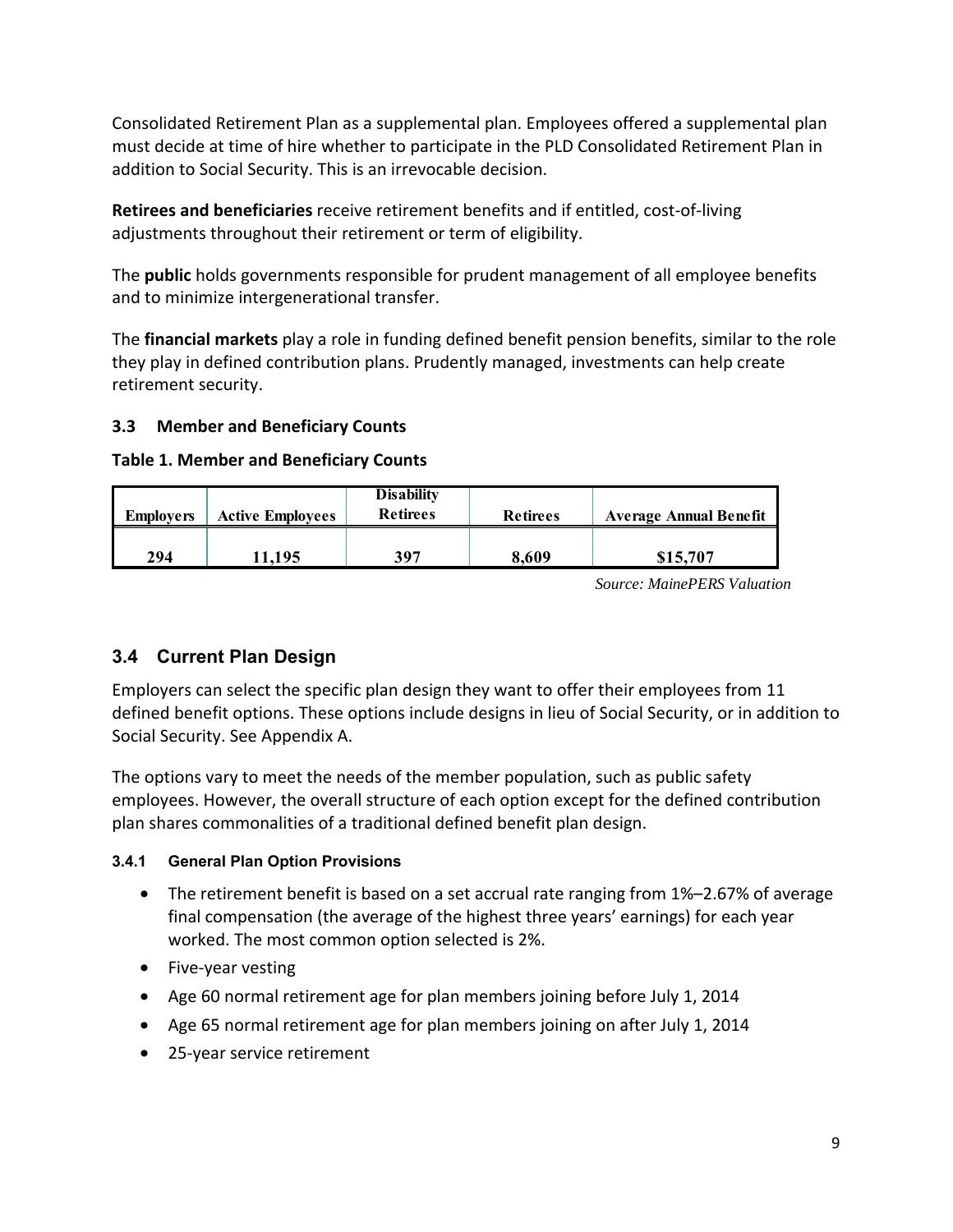Consolidated Retirement Plan as a supplemental plan. Employees offered a supplemental plan must decide at time of hire whether to participate in the PLD Consolidated Retirement Plan in addition to Social Security. This is an irrevocable decision.

**Retirees and beneficiaries** receive retirement benefits and if entitled, cost-of-living adjustments throughout their retirement or term of eligibility.

The **public** holds governments responsible for prudent management of all employee benefits and to minimize intergenerational transfer.

The **financial markets** play a role in funding defined benefit pension benefits, similar to the role they play in defined contribution plans. Prudently managed, investments can help create retirement security.

### **3.3 Member and Beneficiary Counts**

#### **Table 1. Member and Beneficiary Counts**

| <b>Employers</b> | <b>Active Employees</b> | <b>Disability</b><br><b>Retirees</b> | <b>Retirees</b> | <b>Average Annual Benefit</b> |  |  |  |  |
|------------------|-------------------------|--------------------------------------|-----------------|-------------------------------|--|--|--|--|
| 294              | 11.195                  | 397                                  | 8,609           | \$15,707                      |  |  |  |  |

*Source: MainePERS Valuation*

# **3.4 Current Plan Design**

Employers can select the specific plan design they want to offer their employees from 11 defined benefit options. These options include designs in lieu of Social Security, or in addition to Social Security. See Appendix A.

The options vary to meet the needs of the member population, such as public safety employees. However, the overall structure of each option except for the defined contribution plan shares commonalities of a traditional defined benefit plan design.

### **3.4.1 General Plan Option Provisions**

- The retirement benefit is based on a set accrual rate ranging from 1%–2.67% of average final compensation (the average of the highest three years' earnings) for each year worked. The most common option selected is 2%.
- Five-year vesting
- Age 60 normal retirement age for plan members joining before July 1, 2014
- Age 65 normal retirement age for plan members joining on after July 1, 2014
- 25-year service retirement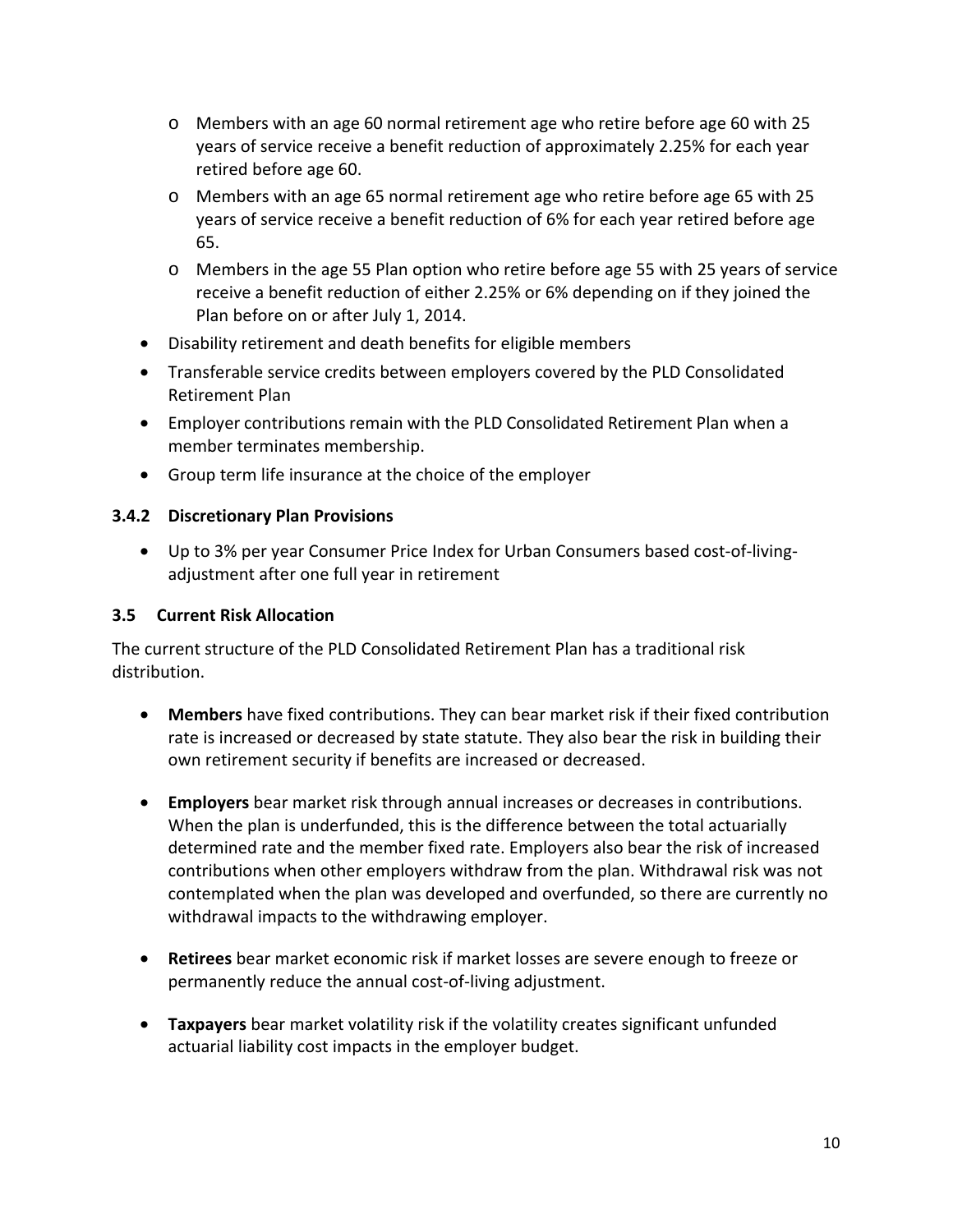- o Members with an age 60 normal retirement age who retire before age 60 with 25 years of service receive a benefit reduction of approximately 2.25% for each year retired before age 60.
- o Members with an age 65 normal retirement age who retire before age 65 with 25 years of service receive a benefit reduction of 6% for each year retired before age 65.
- o Members in the age 55 Plan option who retire before age 55 with 25 years of service receive a benefit reduction of either 2.25% or 6% depending on if they joined the Plan before on or after July 1, 2014.
- Disability retirement and death benefits for eligible members
- Transferable service credits between employers covered by the PLD Consolidated Retirement Plan
- Employer contributions remain with the PLD Consolidated Retirement Plan when a member terminates membership.
- Group term life insurance at the choice of the employer

#### **3.4.2 Discretionary Plan Provisions**

• Up to 3% per year Consumer Price Index for Urban Consumers based cost-of-livingadjustment after one full year in retirement

#### **3.5 Current Risk Allocation**

The current structure of the PLD Consolidated Retirement Plan has a traditional risk distribution.

- **Members** have fixed contributions. They can bear market risk if their fixed contribution rate is increased or decreased by state statute. They also bear the risk in building their own retirement security if benefits are increased or decreased.
- **Employers** bear market risk through annual increases or decreases in contributions. When the plan is underfunded, this is the difference between the total actuarially determined rate and the member fixed rate. Employers also bear the risk of increased contributions when other employers withdraw from the plan. Withdrawal risk was not contemplated when the plan was developed and overfunded, so there are currently no withdrawal impacts to the withdrawing employer.
- **Retirees** bear market economic risk if market losses are severe enough to freeze or permanently reduce the annual cost-of-living adjustment.
- **Taxpayers** bear market volatility risk if the volatility creates significant unfunded actuarial liability cost impacts in the employer budget.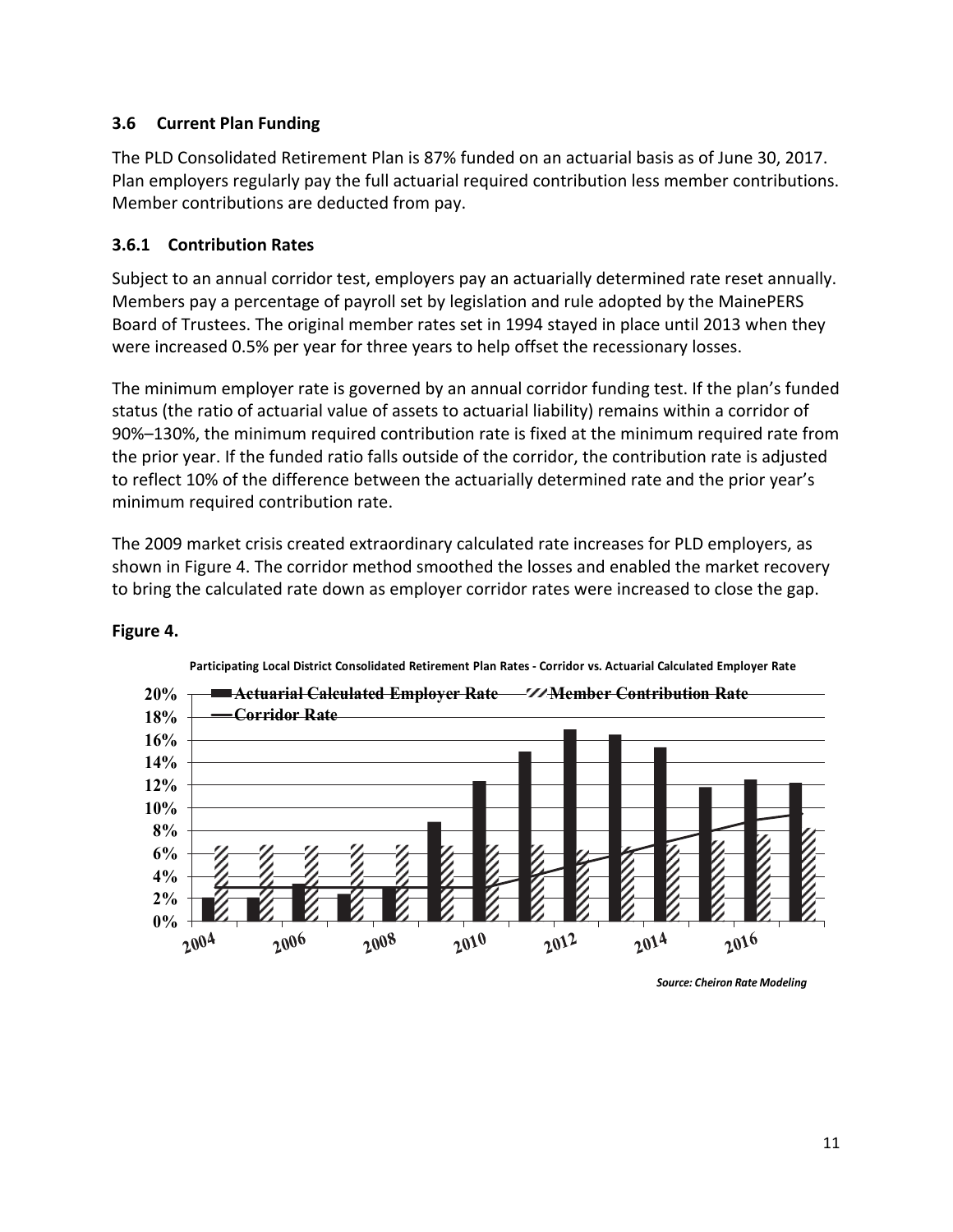#### **3.6 Current Plan Funding**

The PLD Consolidated Retirement Plan is 87% funded on an actuarial basis as of June 30, 2017. Plan employers regularly pay the full actuarial required contribution less member contributions. Member contributions are deducted from pay.

#### **3.6.1 Contribution Rates**

Subject to an annual corridor test, employers pay an actuarially determined rate reset annually. Members pay a percentage of payroll set by legislation and rule adopted by the MainePERS Board of Trustees. The original member rates set in 1994 stayed in place until 2013 when they were increased 0.5% per year for three years to help offset the recessionary losses.

The minimum employer rate is governed by an annual corridor funding test. If the plan's funded status (the ratio of actuarial value of assets to actuarial liability) remains within a corridor of 90%–130%, the minimum required contribution rate is fixed at the minimum required rate from the prior year. If the funded ratio falls outside of the corridor, the contribution rate is adjusted to reflect 10% of the difference between the actuarially determined rate and the prior year's minimum required contribution rate.

The 2009 market crisis created extraordinary calculated rate increases for PLD employers, as shown in Figure 4. The corridor method smoothed the losses and enabled the market recovery to bring the calculated rate down as employer corridor rates were increased to close the gap.



#### **Figure 4.**

*Source: Cheiron Rate Modeling*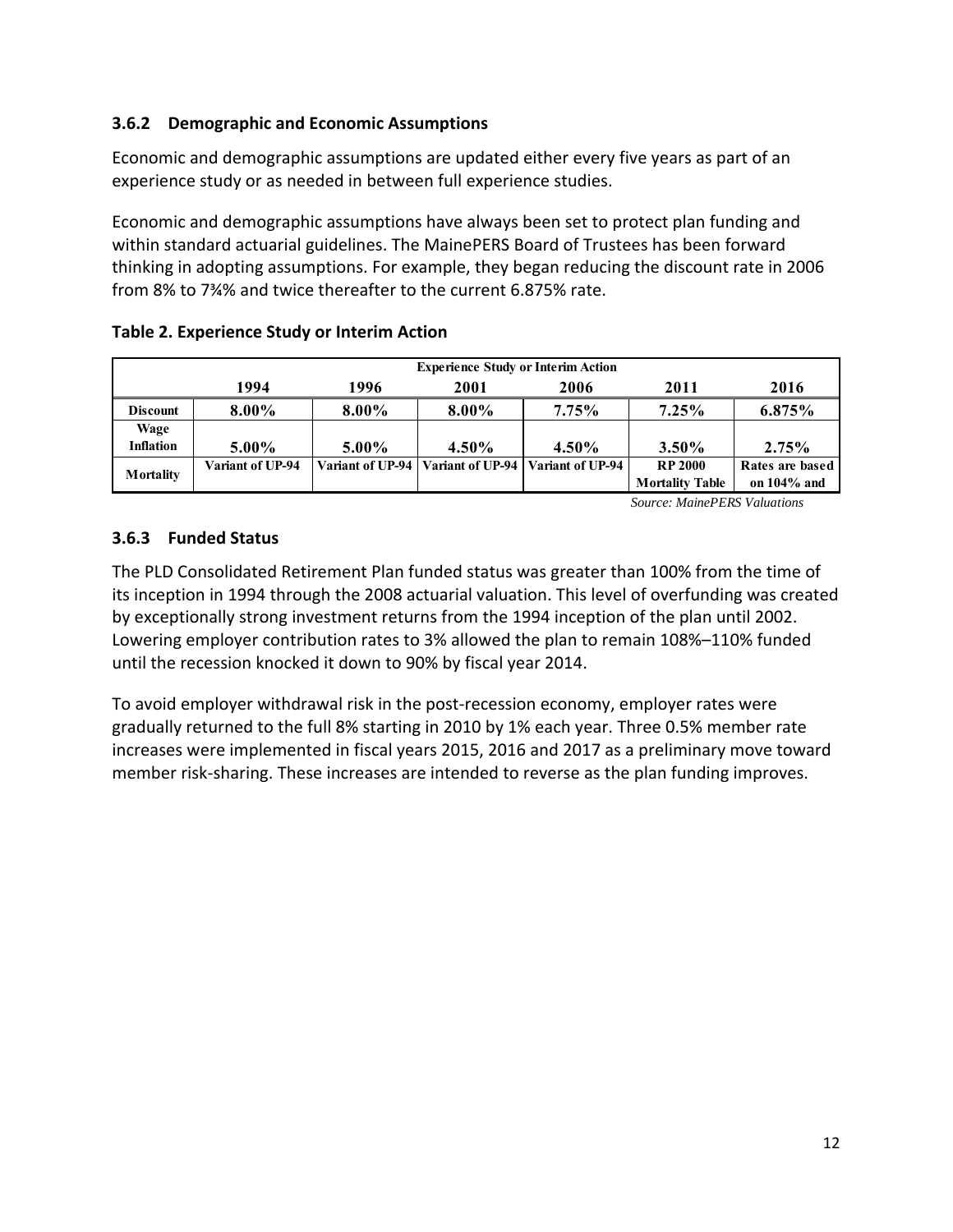# **3.6.2 Demographic and Economic Assumptions**

Economic and demographic assumptions are updated either every five years as part of an experience study or as needed in between full experience studies.

Economic and demographic assumptions have always been set to protect plan funding and within standard actuarial guidelines. The MainePERS Board of Trustees has been forward thinking in adopting assumptions. For example, they began reducing the discount rate in 2006 from 8% to 7¾% and twice thereafter to the current 6.875% rate.

|                  | <b>Experience Study or Interim Action</b> |          |                                     |                  |                        |                 |  |  |  |  |  |  |
|------------------|-------------------------------------------|----------|-------------------------------------|------------------|------------------------|-----------------|--|--|--|--|--|--|
|                  | 1994                                      | 1996     | 2001                                | 2006             | 2011                   | 2016            |  |  |  |  |  |  |
| <b>Discount</b>  | 8.00%                                     | $8.00\%$ | 8.00%                               | 7.75%            | 7.25%                  | 6.875%          |  |  |  |  |  |  |
| Wage             |                                           |          |                                     |                  |                        |                 |  |  |  |  |  |  |
| <b>Inflation</b> | 5.00%                                     | $5.00\%$ | $4.50\%$                            | $4.50\%$         | $3.50\%$               | 2.75%           |  |  |  |  |  |  |
|                  | Variant of UP-94                          |          | Variant of UP-94   Variant of UP-94 | Variant of UP-94 | <b>RP 2000</b>         | Rates are based |  |  |  |  |  |  |
| Mortality        |                                           |          |                                     |                  | <b>Mortality Table</b> | on $104\%$ and  |  |  |  |  |  |  |

*Source: MainePERS Valuations*

### **3.6.3 Funded Status**

The PLD Consolidated Retirement Plan funded status was greater than 100% from the time of its inception in 1994 through the 2008 actuarial valuation. This level of overfunding was created by exceptionally strong investment returns from the 1994 inception of the plan until 2002. Lowering employer contribution rates to 3% allowed the plan to remain 108%–110% funded until the recession knocked it down to 90% by fiscal year 2014.

To avoid employer withdrawal risk in the post-recession economy, employer rates were gradually returned to the full 8% starting in 2010 by 1% each year. Three 0.5% member rate increases were implemented in fiscal years 2015, 2016 and 2017 as a preliminary move toward member risk-sharing. These increases are intended to reverse as the plan funding improves.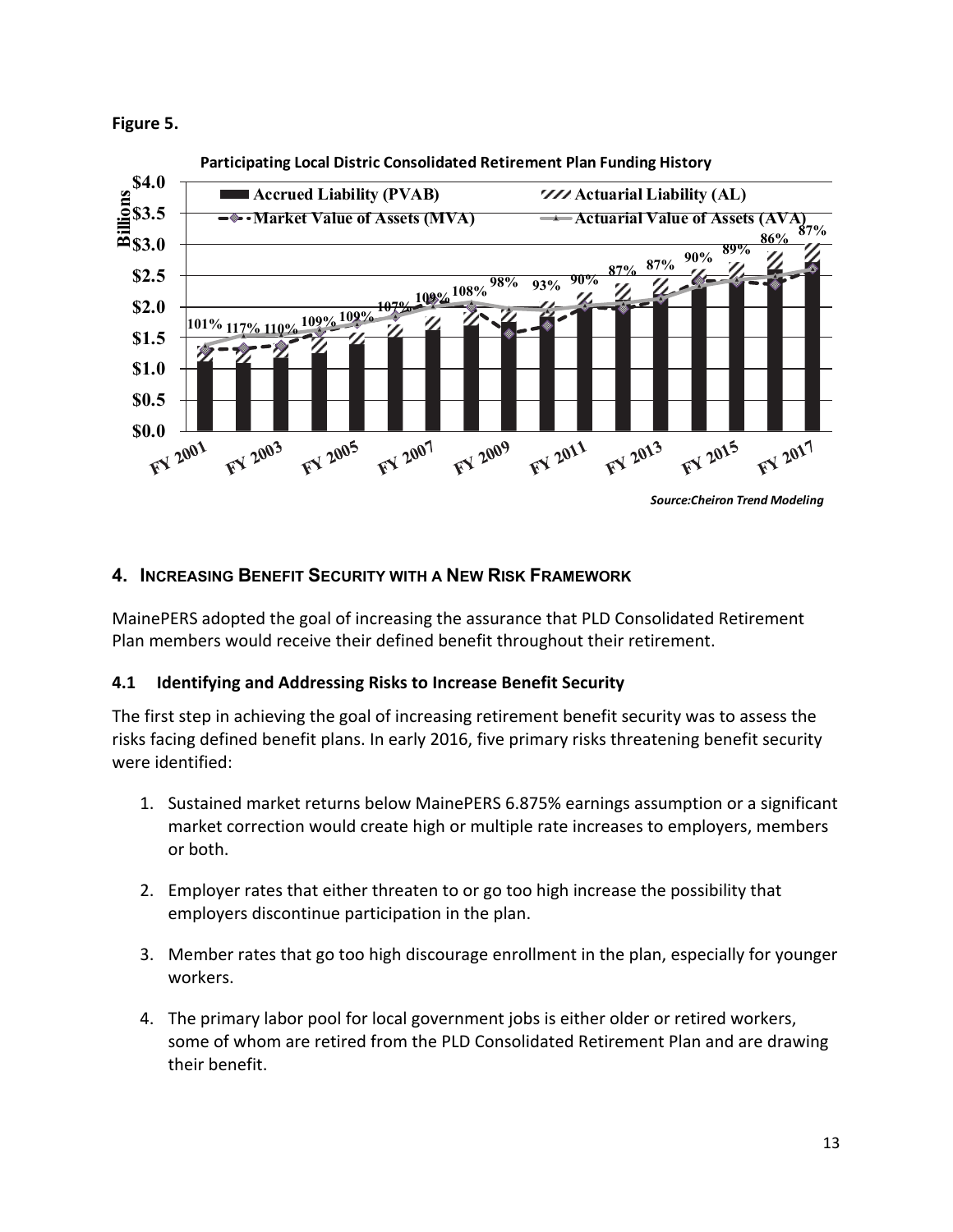**Figure 5.** 



# **4. INCREASING BENEFIT SECURITY WITH A NEW RISK FRAMEWORK**

MainePERS adopted the goal of increasing the assurance that PLD Consolidated Retirement Plan members would receive their defined benefit throughout their retirement.

### **4.1 Identifying and Addressing Risks to Increase Benefit Security**

The first step in achieving the goal of increasing retirement benefit security was to assess the risks facing defined benefit plans. In early 2016, five primary risks threatening benefit security were identified:

- 1. Sustained market returns below MainePERS 6.875% earnings assumption or a significant market correction would create high or multiple rate increases to employers, members or both.
- 2. Employer rates that either threaten to or go too high increase the possibility that employers discontinue participation in the plan.
- 3. Member rates that go too high discourage enrollment in the plan, especially for younger workers.
- 4. The primary labor pool for local government jobs is either older or retired workers, some of whom are retired from the PLD Consolidated Retirement Plan and are drawing their benefit.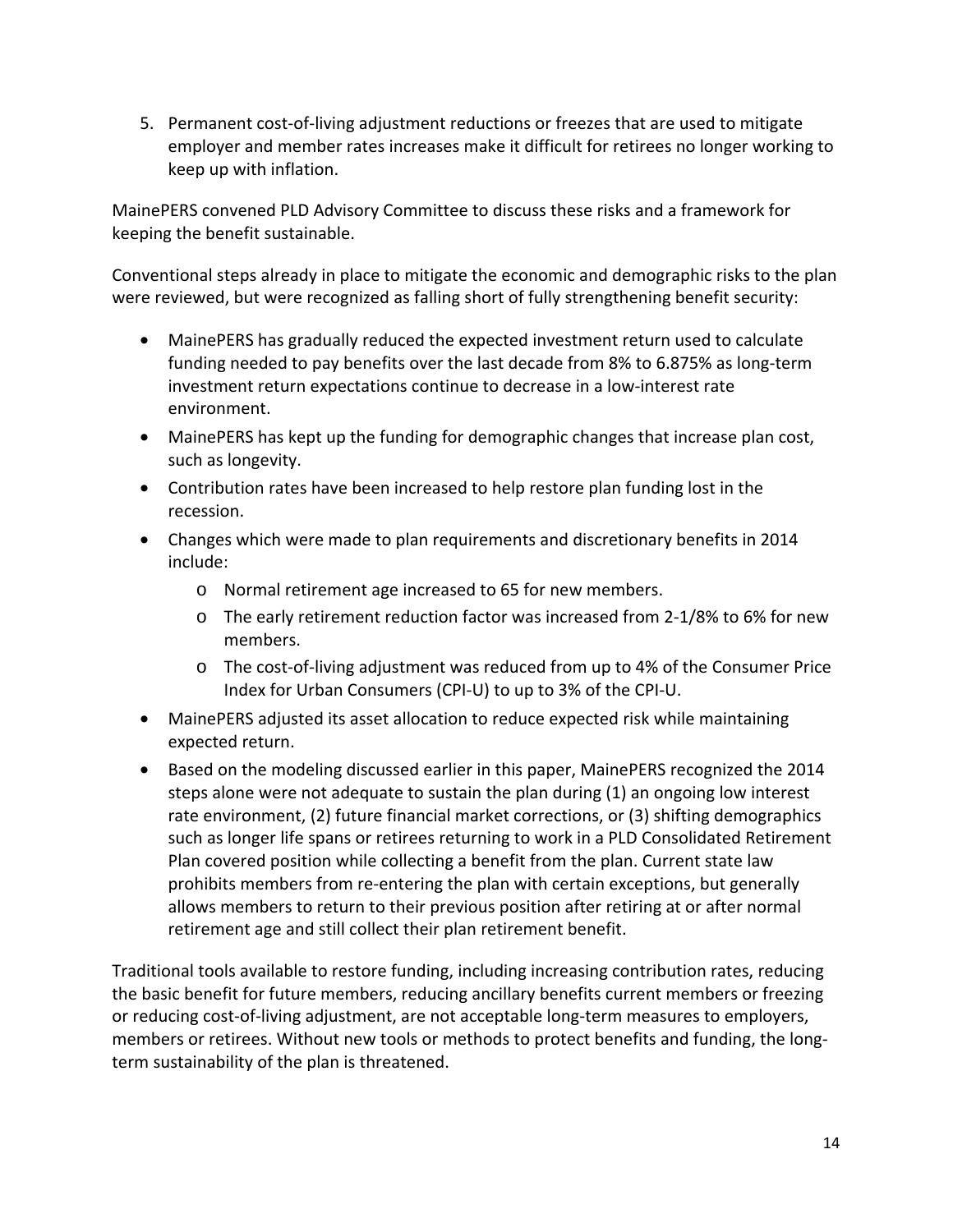5. Permanent cost-of-living adjustment reductions or freezes that are used to mitigate employer and member rates increases make it difficult for retirees no longer working to keep up with inflation.

MainePERS convened PLD Advisory Committee to discuss these risks and a framework for keeping the benefit sustainable.

Conventional steps already in place to mitigate the economic and demographic risks to the plan were reviewed, but were recognized as falling short of fully strengthening benefit security:

- MainePERS has gradually reduced the expected investment return used to calculate funding needed to pay benefits over the last decade from 8% to 6.875% as long-term investment return expectations continue to decrease in a low-interest rate environment.
- MainePERS has kept up the funding for demographic changes that increase plan cost, such as longevity.
- Contribution rates have been increased to help restore plan funding lost in the recession.
- Changes which were made to plan requirements and discretionary benefits in 2014 include:
	- o Normal retirement age increased to 65 for new members.
	- o The early retirement reduction factor was increased from 2-1/8% to 6% for new members.
	- o The cost-of-living adjustment was reduced from up to 4% of the Consumer Price Index for Urban Consumers (CPI-U) to up to 3% of the CPI-U.
- MainePERS adjusted its asset allocation to reduce expected risk while maintaining expected return.
- Based on the modeling discussed earlier in this paper, MainePERS recognized the 2014 steps alone were not adequate to sustain the plan during (1) an ongoing low interest rate environment, (2) future financial market corrections, or (3) shifting demographics such as longer life spans or retirees returning to work in a PLD Consolidated Retirement Plan covered position while collecting a benefit from the plan. Current state law prohibits members from re-entering the plan with certain exceptions, but generally allows members to return to their previous position after retiring at or after normal retirement age and still collect their plan retirement benefit.

Traditional tools available to restore funding, including increasing contribution rates, reducing the basic benefit for future members, reducing ancillary benefits current members or freezing or reducing cost-of-living adjustment, are not acceptable long-term measures to employers, members or retirees. Without new tools or methods to protect benefits and funding, the longterm sustainability of the plan is threatened.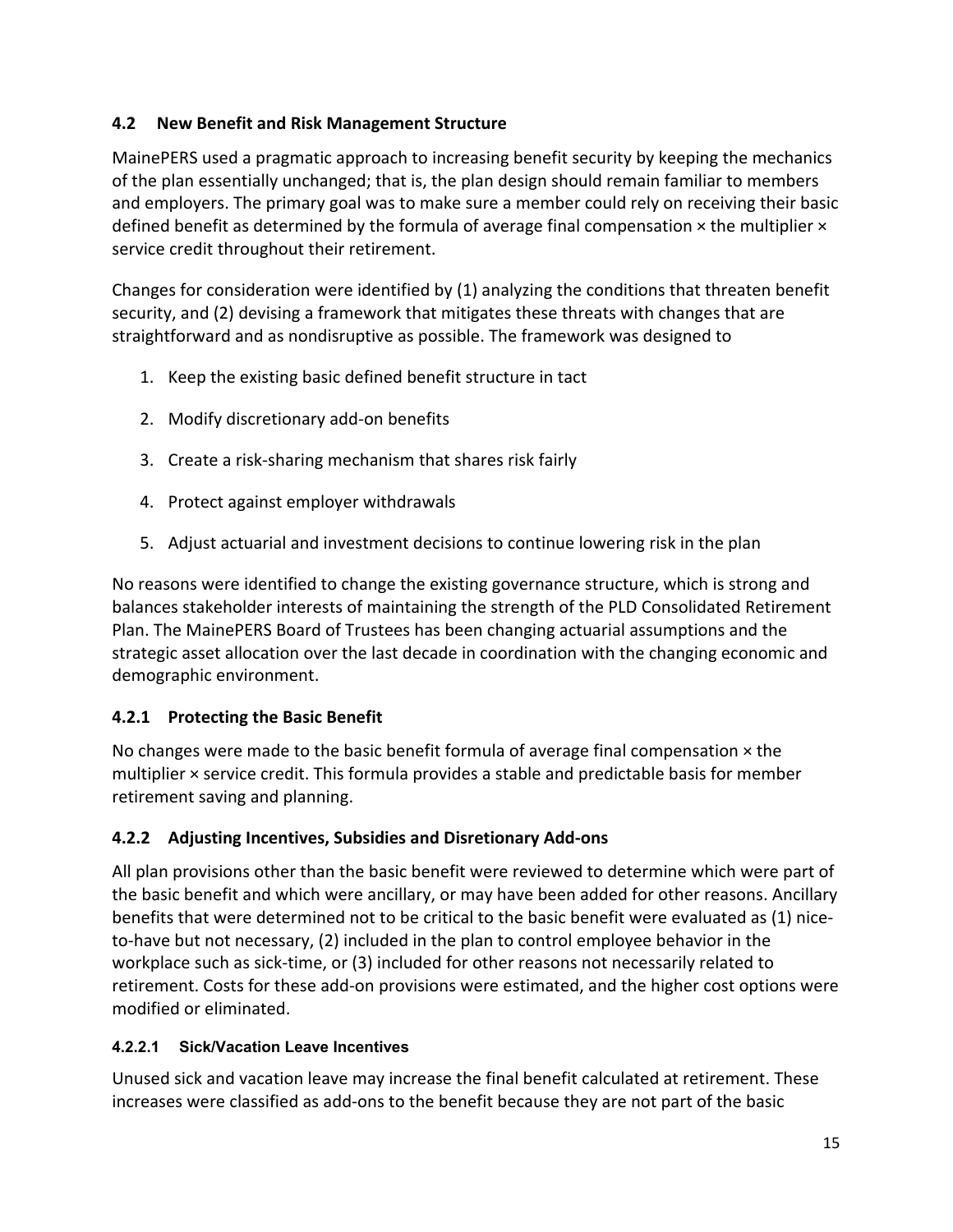# **4.2 New Benefit and Risk Management Structure**

MainePERS used a pragmatic approach to increasing benefit security by keeping the mechanics of the plan essentially unchanged; that is, the plan design should remain familiar to members and employers. The primary goal was to make sure a member could rely on receiving their basic defined benefit as determined by the formula of average final compensation  $\times$  the multiplier  $\times$ service credit throughout their retirement.

Changes for consideration were identified by (1) analyzing the conditions that threaten benefit security, and (2) devising a framework that mitigates these threats with changes that are straightforward and as nondisruptive as possible. The framework was designed to

- 1. Keep the existing basic defined benefit structure in tact
- 2. Modify discretionary add-on benefits
- 3. Create a risk-sharing mechanism that shares risk fairly
- 4. Protect against employer withdrawals
- 5. Adjust actuarial and investment decisions to continue lowering risk in the plan

No reasons were identified to change the existing governance structure, which is strong and balances stakeholder interests of maintaining the strength of the PLD Consolidated Retirement Plan. The MainePERS Board of Trustees has been changing actuarial assumptions and the strategic asset allocation over the last decade in coordination with the changing economic and demographic environment.

### **4.2.1 Protecting the Basic Benefit**

No changes were made to the basic benefit formula of average final compensation  $\times$  the multiplier × service credit. This formula provides a stable and predictable basis for member retirement saving and planning.

### **4.2.2 Adjusting Incentives, Subsidies and Disretionary Add-ons**

All plan provisions other than the basic benefit were reviewed to determine which were part of the basic benefit and which were ancillary, or may have been added for other reasons. Ancillary benefits that were determined not to be critical to the basic benefit were evaluated as (1) niceto-have but not necessary, (2) included in the plan to control employee behavior in the workplace such as sick-time, or (3) included for other reasons not necessarily related to retirement. Costs for these add-on provisions were estimated, and the higher cost options were modified or eliminated.

### **4.2.2.1 Sick/Vacation Leave Incentives**

Unused sick and vacation leave may increase the final benefit calculated at retirement. These increases were classified as add-ons to the benefit because they are not part of the basic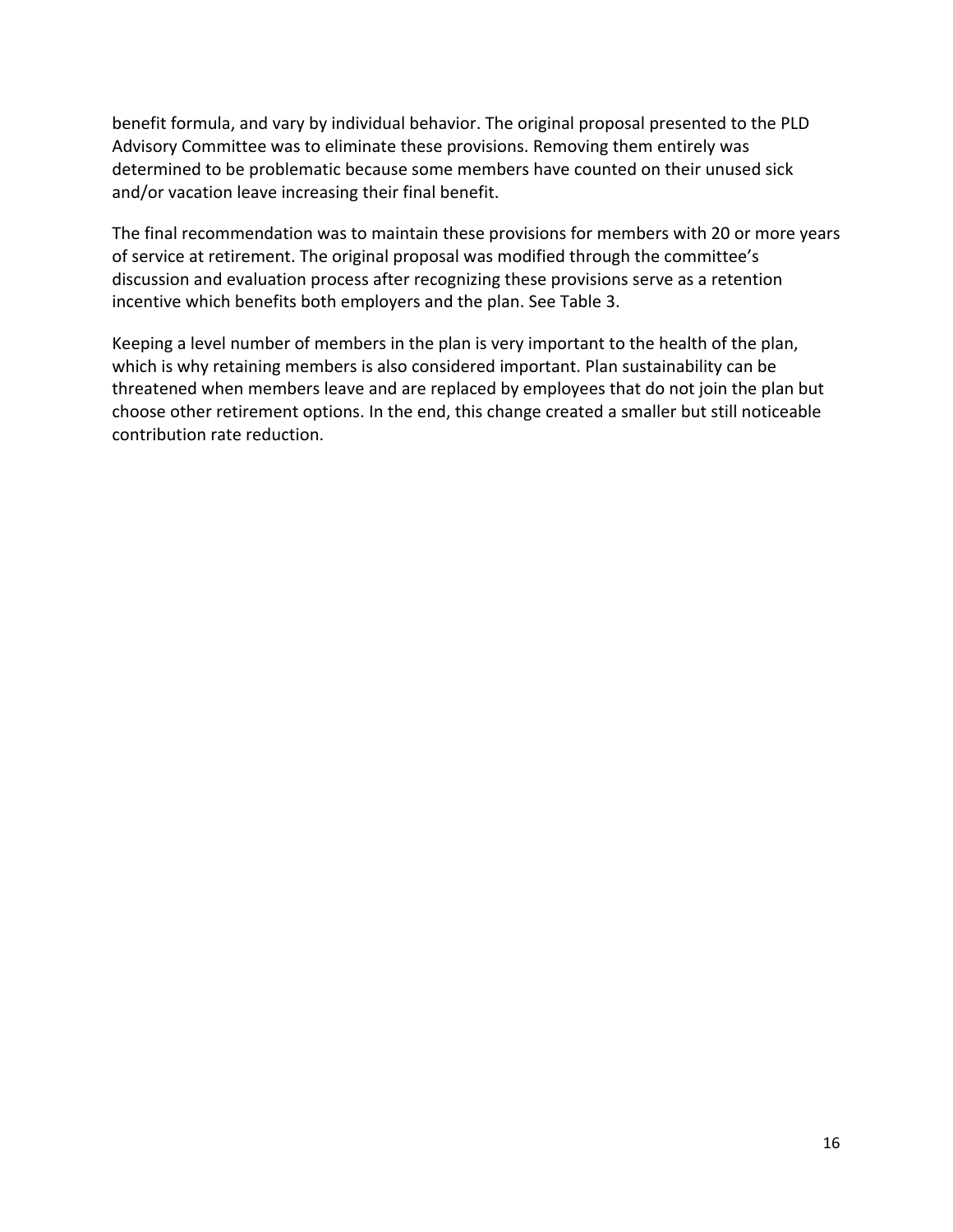benefit formula, and vary by individual behavior. The original proposal presented to the PLD Advisory Committee was to eliminate these provisions. Removing them entirely was determined to be problematic because some members have counted on their unused sick and/or vacation leave increasing their final benefit.

The final recommendation was to maintain these provisions for members with 20 or more years of service at retirement. The original proposal was modified through the committee's discussion and evaluation process after recognizing these provisions serve as a retention incentive which benefits both employers and the plan. See Table 3.

Keeping a level number of members in the plan is very important to the health of the plan, which is why retaining members is also considered important. Plan sustainability can be threatened when members leave and are replaced by employees that do not join the plan but choose other retirement options. In the end, this change created a smaller but still noticeable contribution rate reduction.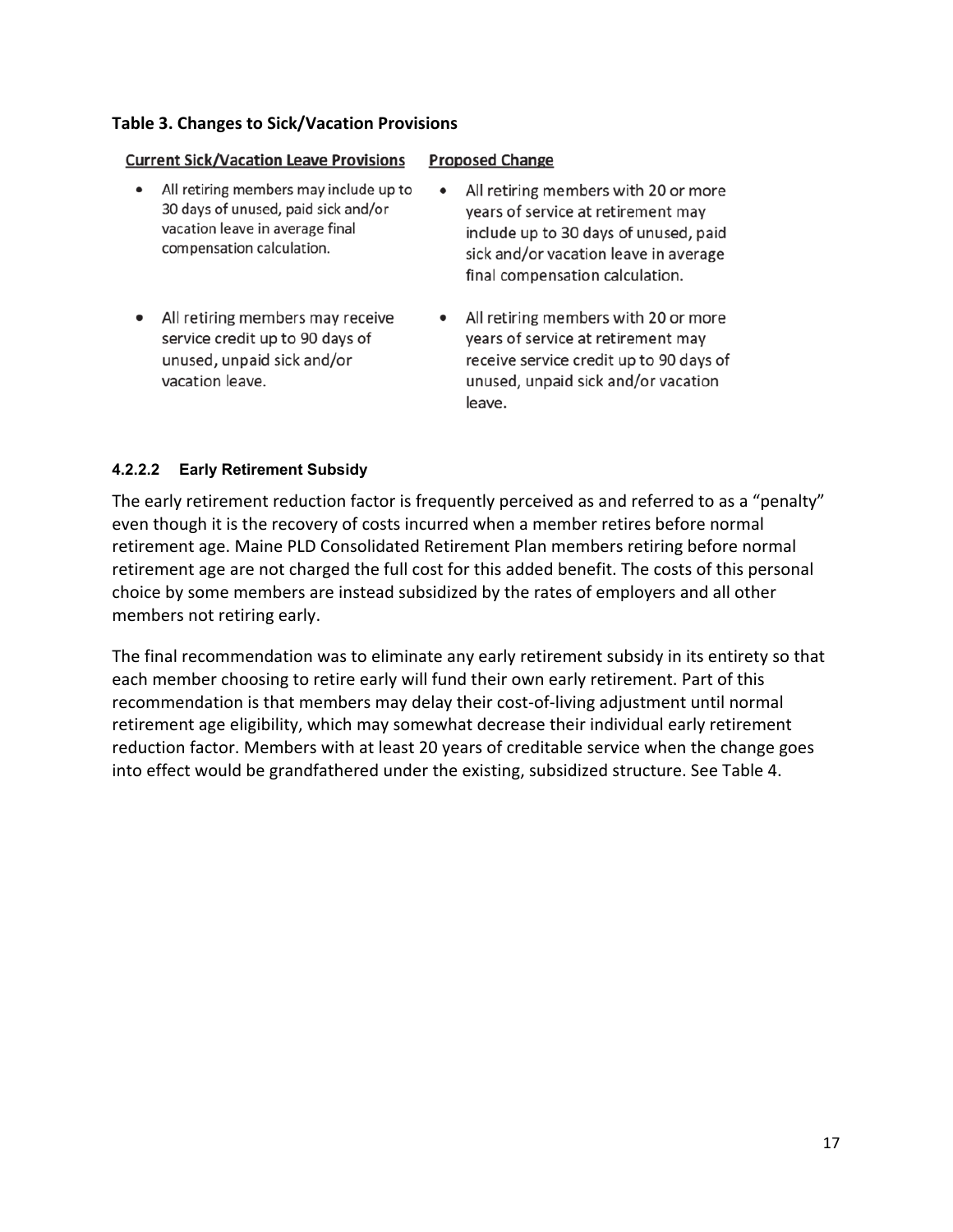#### **Table 3. Changes to Sick/Vacation Provisions**

| <b>Current Sick/Vacation Leave Provisions</b>                                                                                                              | <b>Proposed Change</b>                                                                                                                                                                                       |
|------------------------------------------------------------------------------------------------------------------------------------------------------------|--------------------------------------------------------------------------------------------------------------------------------------------------------------------------------------------------------------|
| All retiring members may include up to<br>$\bullet$<br>30 days of unused, paid sick and/or<br>vacation leave in average final<br>compensation calculation. | All retiring members with 20 or more<br>$\bullet$<br>years of service at retirement may<br>include up to 30 days of unused, paid<br>sick and/or vacation leave in average<br>final compensation calculation. |
| All retiring members may receive<br>$\bullet$<br>service credit up to 90 days of<br>unused, unpaid sick and/or<br>vacation leave.                          | All retiring members with 20 or more<br>$\bullet$<br>years of service at retirement may<br>receive service credit up to 90 days of<br>unused, unpaid sick and/or vacation<br>leave.                          |

#### **4.2.2.2 Early Retirement Subsidy**

The early retirement reduction factor is frequently perceived as and referred to as a "penalty" even though it is the recovery of costs incurred when a member retires before normal retirement age. Maine PLD Consolidated Retirement Plan members retiring before normal retirement age are not charged the full cost for this added benefit. The costs of this personal choice by some members are instead subsidized by the rates of employers and all other members not retiring early.

The final recommendation was to eliminate any early retirement subsidy in its entirety so that each member choosing to retire early will fund their own early retirement. Part of this recommendation is that members may delay their cost-of-living adjustment until normal retirement age eligibility, which may somewhat decrease their individual early retirement reduction factor. Members with at least 20 years of creditable service when the change goes into effect would be grandfathered under the existing, subsidized structure. See Table 4.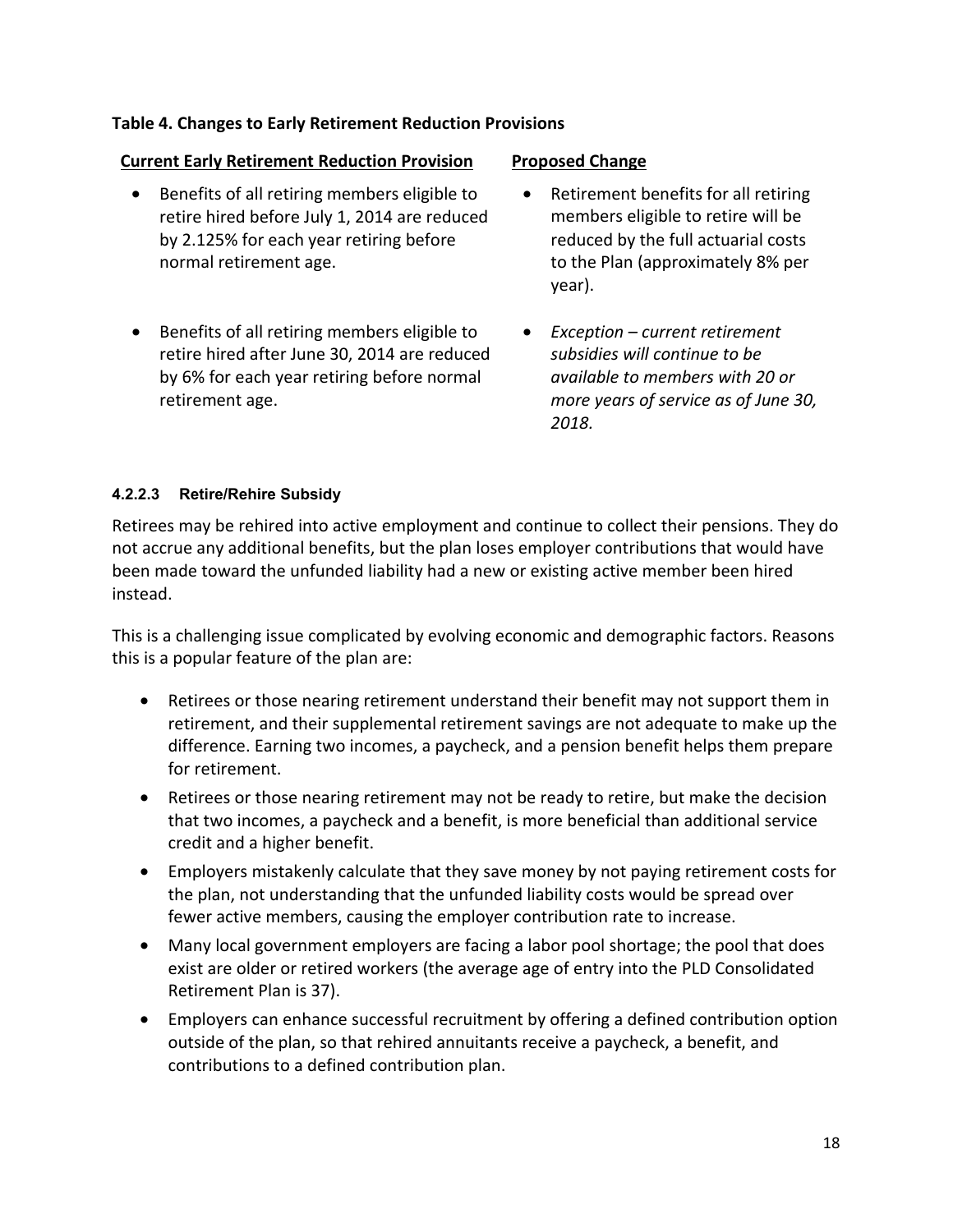#### **Table 4. Changes to Early Retirement Reduction Provisions**

#### **Current Early Retirement Reduction Provision Proposed Change**

- Benefits of all retiring members eligible to retire hired before July 1, 2014 are reduced by 2.125% for each year retiring before normal retirement age.
- Benefits of all retiring members eligible to retire hired after June 30, 2014 are reduced by 6% for each year retiring before normal retirement age.

- Retirement benefits for all retiring members eligible to retire will be reduced by the full actuarial costs to the Plan (approximately 8% per year).
- *Exception current retirement subsidies will continue to be available to members with 20 or more years of service as of June 30, 2018.*

#### **4.2.2.3 Retire/Rehire Subsidy**

Retirees may be rehired into active employment and continue to collect their pensions. They do not accrue any additional benefits, but the plan loses employer contributions that would have been made toward the unfunded liability had a new or existing active member been hired instead.

This is a challenging issue complicated by evolving economic and demographic factors. Reasons this is a popular feature of the plan are:

- Retirees or those nearing retirement understand their benefit may not support them in retirement, and their supplemental retirement savings are not adequate to make up the difference. Earning two incomes, a paycheck, and a pension benefit helps them prepare for retirement.
- Retirees or those nearing retirement may not be ready to retire, but make the decision that two incomes, a paycheck and a benefit, is more beneficial than additional service credit and a higher benefit.
- Employers mistakenly calculate that they save money by not paying retirement costs for the plan, not understanding that the unfunded liability costs would be spread over fewer active members, causing the employer contribution rate to increase.
- Many local government employers are facing a labor pool shortage; the pool that does exist are older or retired workers (the average age of entry into the PLD Consolidated Retirement Plan is 37).
- Employers can enhance successful recruitment by offering a defined contribution option outside of the plan, so that rehired annuitants receive a paycheck, a benefit, and contributions to a defined contribution plan.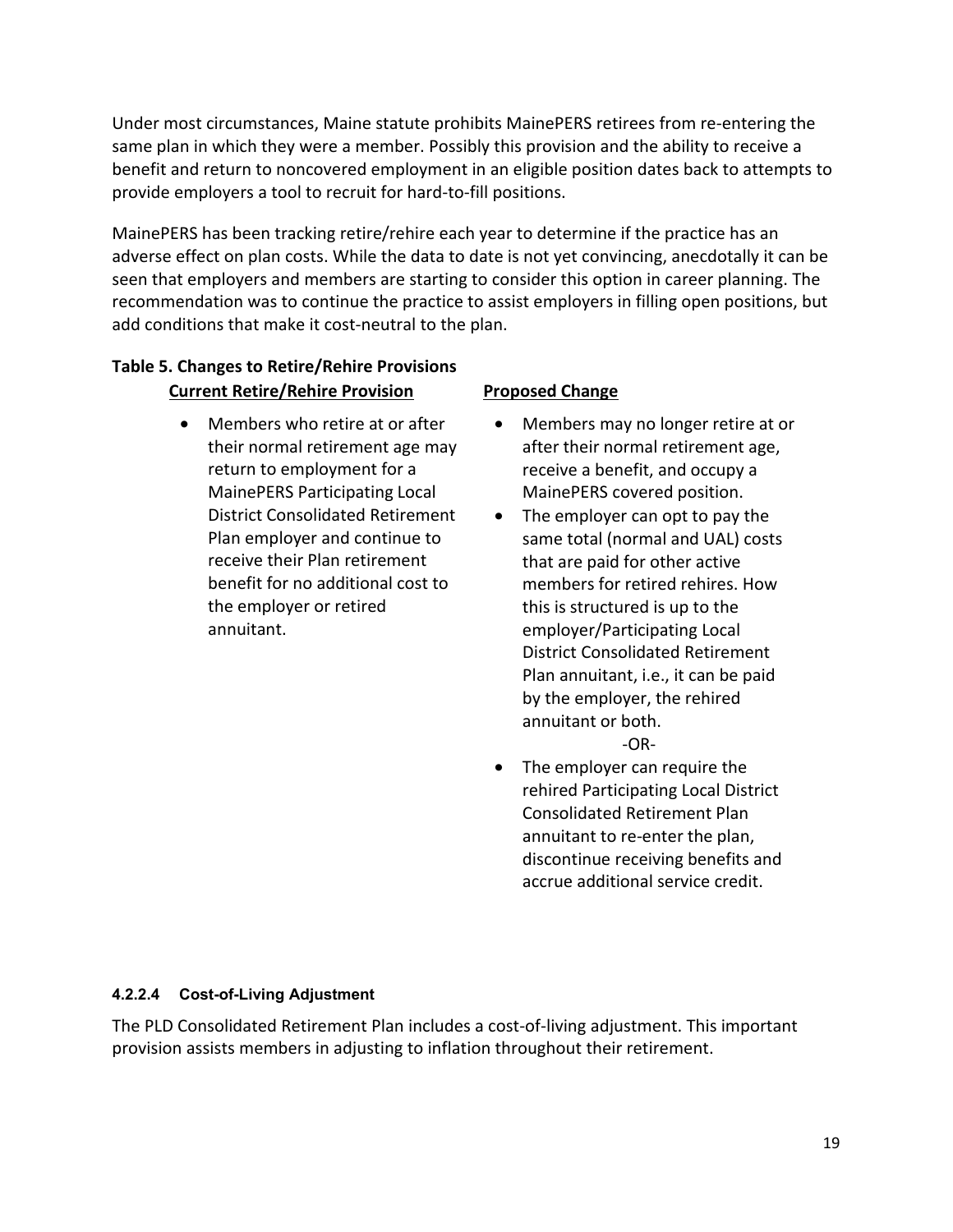Under most circumstances, Maine statute prohibits MainePERS retirees from re-entering the same plan in which they were a member. Possibly this provision and the ability to receive a benefit and return to noncovered employment in an eligible position dates back to attempts to provide employers a tool to recruit for hard-to-fill positions.

MainePERS has been tracking retire/rehire each year to determine if the practice has an adverse effect on plan costs. While the data to date is not yet convincing, anecdotally it can be seen that employers and members are starting to consider this option in career planning. The recommendation was to continue the practice to assist employers in filling open positions, but add conditions that make it cost-neutral to the plan.

# **Table 5. Changes to Retire/Rehire Provisions Current Retire/Rehire Provision Proposed Change**

• Members who retire at or after their normal retirement age may return to employment for a MainePERS Participating Local District Consolidated Retirement Plan employer and continue to receive their Plan retirement benefit for no additional cost to the employer or retired annuitant.

- Members may no longer retire at or after their normal retirement age, receive a benefit, and occupy a MainePERS covered position.
- The employer can opt to pay the same total (normal and UAL) costs that are paid for other active members for retired rehires. How this is structured is up to the employer/Participating Local District Consolidated Retirement Plan annuitant, i.e., it can be paid by the employer, the rehired annuitant or both.

-OR-

• The employer can require the rehired Participating Local District Consolidated Retirement Plan annuitant to re-enter the plan, discontinue receiving benefits and accrue additional service credit.

### **4.2.2.4 Cost-of-Living Adjustment**

The PLD Consolidated Retirement Plan includes a cost-of-living adjustment. This important provision assists members in adjusting to inflation throughout their retirement.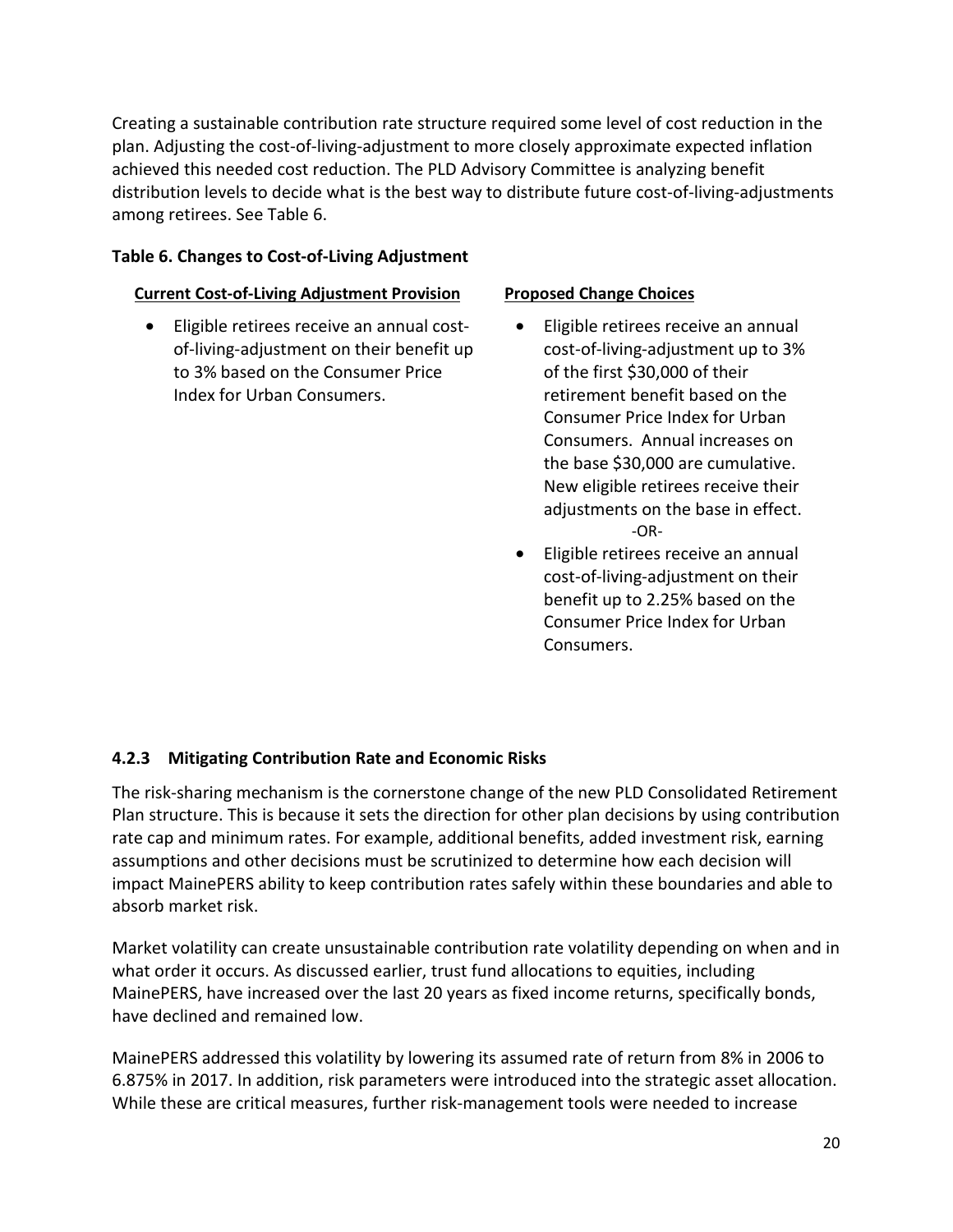Creating a sustainable contribution rate structure required some level of cost reduction in the plan. Adjusting the cost-of-living-adjustment to more closely approximate expected inflation achieved this needed cost reduction. The PLD Advisory Committee is analyzing benefit distribution levels to decide what is the best way to distribute future cost-of-living-adjustments among retirees. See Table 6.

#### **Table 6. Changes to Cost-of-Living Adjustment**

#### **Current Cost-of-Living Adjustment Provision Proposed Change Choices**

• Eligible retirees receive an annual costof-living-adjustment on their benefit up to 3% based on the Consumer Price Index for Urban Consumers.

- Eligible retirees receive an annual cost-of-living-adjustment up to 3% of the first \$30,000 of their retirement benefit based on the Consumer Price Index for Urban Consumers. Annual increases on the base \$30,000 are cumulative. New eligible retirees receive their adjustments on the base in effect. -OR-
- Eligible retirees receive an annual cost-of-living-adjustment on their benefit up to 2.25% based on the Consumer Price Index for Urban Consumers.

### **4.2.3 Mitigating Contribution Rate and Economic Risks**

The risk-sharing mechanism is the cornerstone change of the new PLD Consolidated Retirement Plan structure. This is because it sets the direction for other plan decisions by using contribution rate cap and minimum rates. For example, additional benefits, added investment risk, earning assumptions and other decisions must be scrutinized to determine how each decision will impact MainePERS ability to keep contribution rates safely within these boundaries and able to absorb market risk.

Market volatility can create unsustainable contribution rate volatility depending on when and in what order it occurs. As discussed earlier, trust fund allocations to equities, including MainePERS, have increased over the last 20 years as fixed income returns, specifically bonds, have declined and remained low.

MainePERS addressed this volatility by lowering its assumed rate of return from 8% in 2006 to 6.875% in 2017. In addition, risk parameters were introduced into the strategic asset allocation. While these are critical measures, further risk-management tools were needed to increase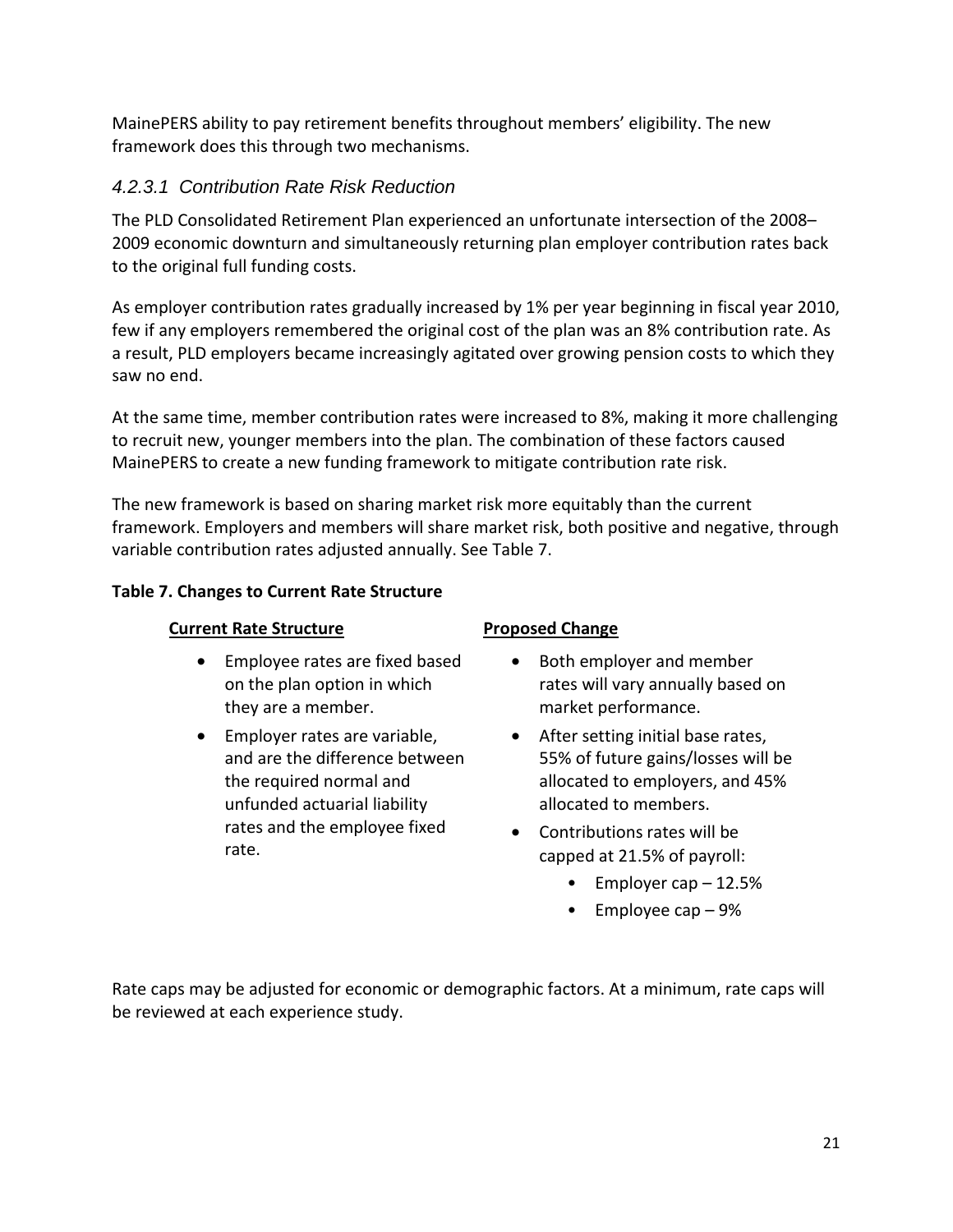MainePERS ability to pay retirement benefits throughout members' eligibility. The new framework does this through two mechanisms.

# *4.2.3.1 Contribution Rate Risk Reduction*

The PLD Consolidated Retirement Plan experienced an unfortunate intersection of the 2008– 2009 economic downturn and simultaneously returning plan employer contribution rates back to the original full funding costs.

As employer contribution rates gradually increased by 1% per year beginning in fiscal year 2010, few if any employers remembered the original cost of the plan was an 8% contribution rate. As a result, PLD employers became increasingly agitated over growing pension costs to which they saw no end.

At the same time, member contribution rates were increased to 8%, making it more challenging to recruit new, younger members into the plan. The combination of these factors caused MainePERS to create a new funding framework to mitigate contribution rate risk.

The new framework is based on sharing market risk more equitably than the current framework. Employers and members will share market risk, both positive and negative, through variable contribution rates adjusted annually. See Table 7.

# **Table 7. Changes to Current Rate Structure**

### **Current Rate Structure**  Proposed Change

- Employee rates are fixed based on the plan option in which they are a member.
- Employer rates are variable, and are the difference between the required normal and unfunded actuarial liability rates and the employee fixed rate.

- Both employer and member rates will vary annually based on market performance.
- After setting initial base rates, 55% of future gains/losses will be allocated to employers, and 45% allocated to members.
- Contributions rates will be capped at 21.5% of payroll:
	- Employer cap 12.5%
	- Employee cap 9%

Rate caps may be adjusted for economic or demographic factors. At a minimum, rate caps will be reviewed at each experience study.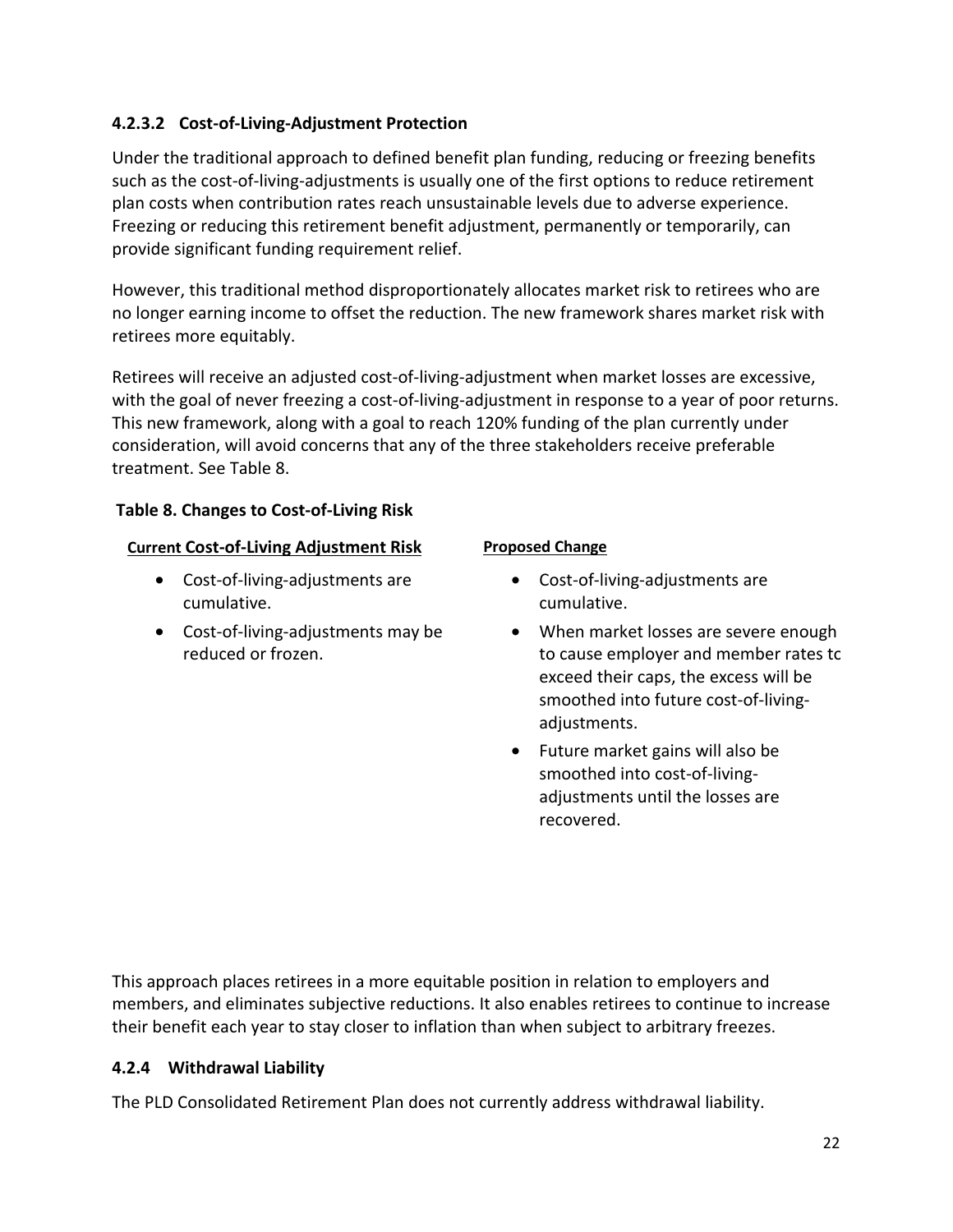# **4.2.3.2 Cost-of-Living-Adjustment Protection**

Under the traditional approach to defined benefit plan funding, reducing or freezing benefits such as the cost-of-living-adjustments is usually one of the first options to reduce retirement plan costs when contribution rates reach unsustainable levels due to adverse experience. Freezing or reducing this retirement benefit adjustment, permanently or temporarily, can provide significant funding requirement relief.

However, this traditional method disproportionately allocates market risk to retirees who are no longer earning income to offset the reduction. The new framework shares market risk with retirees more equitably.

Retirees will receive an adjusted cost-of-living-adjustment when market losses are excessive, with the goal of never freezing a cost-of-living-adjustment in response to a year of poor returns. This new framework, along with a goal to reach 120% funding of the plan currently under consideration, will avoid concerns that any of the three stakeholders receive preferable treatment. See Table 8.

# **Table 8. Changes to Cost-of-Living Risk**

# **Current Cost-of-Living Adjustment Risk Proposed Change**

- Cost-of-living-adjustments are cumulative.
- Cost-of-living-adjustments may be reduced or frozen.

- Cost-of-living-adjustments are cumulative.
- When market losses are severe enough to cause employer and member rates to exceed their caps, the excess will be smoothed into future cost-of-livingadjustments.
- Future market gains will also be smoothed into cost-of-livingadjustments until the losses are recovered.

This approach places retirees in a more equitable position in relation to employers and members, and eliminates subjective reductions. It also enables retirees to continue to increase their benefit each year to stay closer to inflation than when subject to arbitrary freezes.

# **4.2.4 Withdrawal Liability**

The PLD Consolidated Retirement Plan does not currently address withdrawal liability.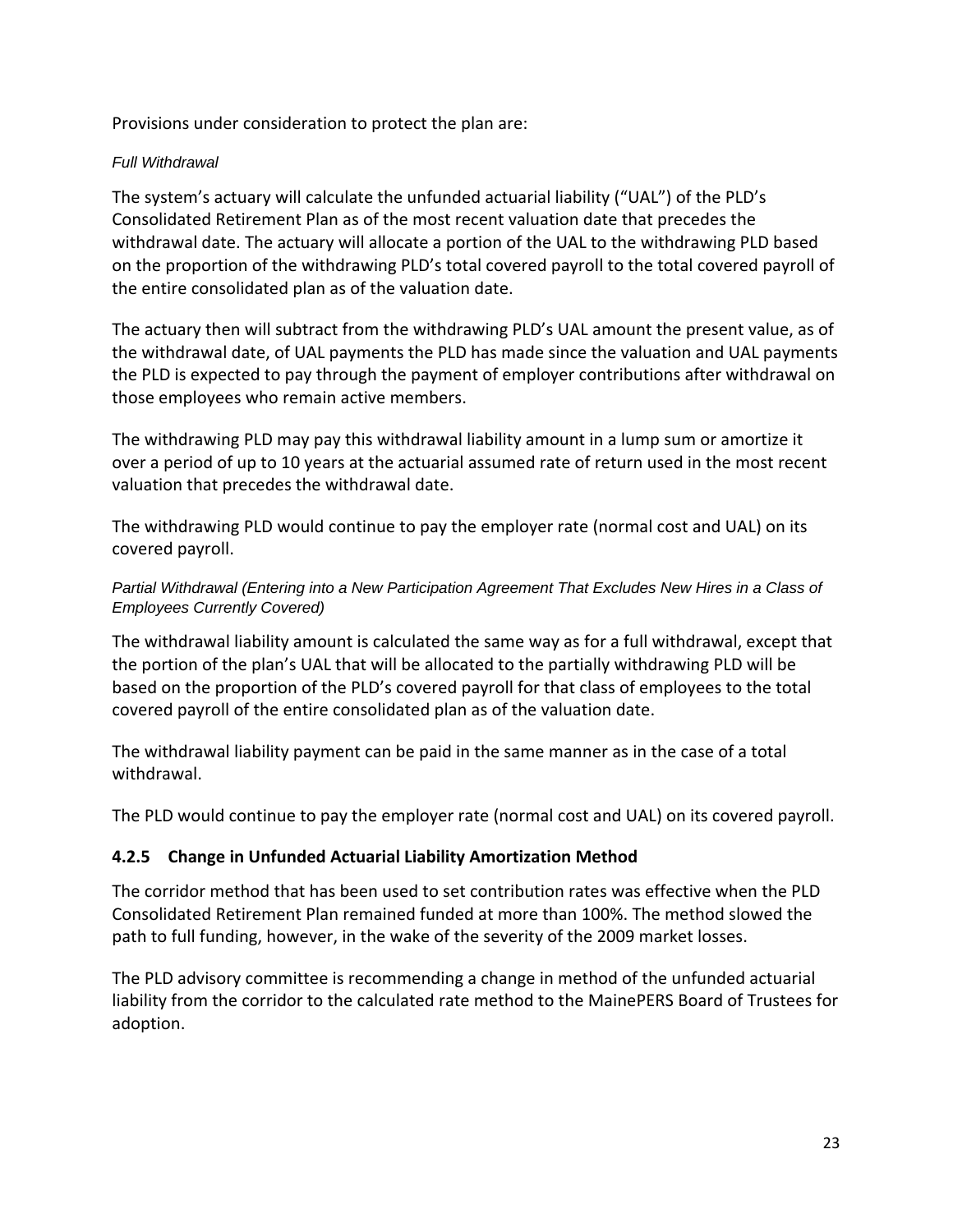Provisions under consideration to protect the plan are:

#### *Full Withdrawal*

The system's actuary will calculate the unfunded actuarial liability ("UAL") of the PLD's Consolidated Retirement Plan as of the most recent valuation date that precedes the withdrawal date. The actuary will allocate a portion of the UAL to the withdrawing PLD based on the proportion of the withdrawing PLD's total covered payroll to the total covered payroll of the entire consolidated plan as of the valuation date.

The actuary then will subtract from the withdrawing PLD's UAL amount the present value, as of the withdrawal date, of UAL payments the PLD has made since the valuation and UAL payments the PLD is expected to pay through the payment of employer contributions after withdrawal on those employees who remain active members.

The withdrawing PLD may pay this withdrawal liability amount in a lump sum or amortize it over a period of up to 10 years at the actuarial assumed rate of return used in the most recent valuation that precedes the withdrawal date.

The withdrawing PLD would continue to pay the employer rate (normal cost and UAL) on its covered payroll.

#### *Partial Withdrawal (Entering into a New Participation Agreement That Excludes New Hires in a Class of Employees Currently Covered)*

The withdrawal liability amount is calculated the same way as for a full withdrawal, except that the portion of the plan's UAL that will be allocated to the partially withdrawing PLD will be based on the proportion of the PLD's covered payroll for that class of employees to the total covered payroll of the entire consolidated plan as of the valuation date.

The withdrawal liability payment can be paid in the same manner as in the case of a total withdrawal.

The PLD would continue to pay the employer rate (normal cost and UAL) on its covered payroll.

### **4.2.5 Change in Unfunded Actuarial Liability Amortization Method**

The corridor method that has been used to set contribution rates was effective when the PLD Consolidated Retirement Plan remained funded at more than 100%. The method slowed the path to full funding, however, in the wake of the severity of the 2009 market losses.

The PLD advisory committee is recommending a change in method of the unfunded actuarial liability from the corridor to the calculated rate method to the MainePERS Board of Trustees for adoption.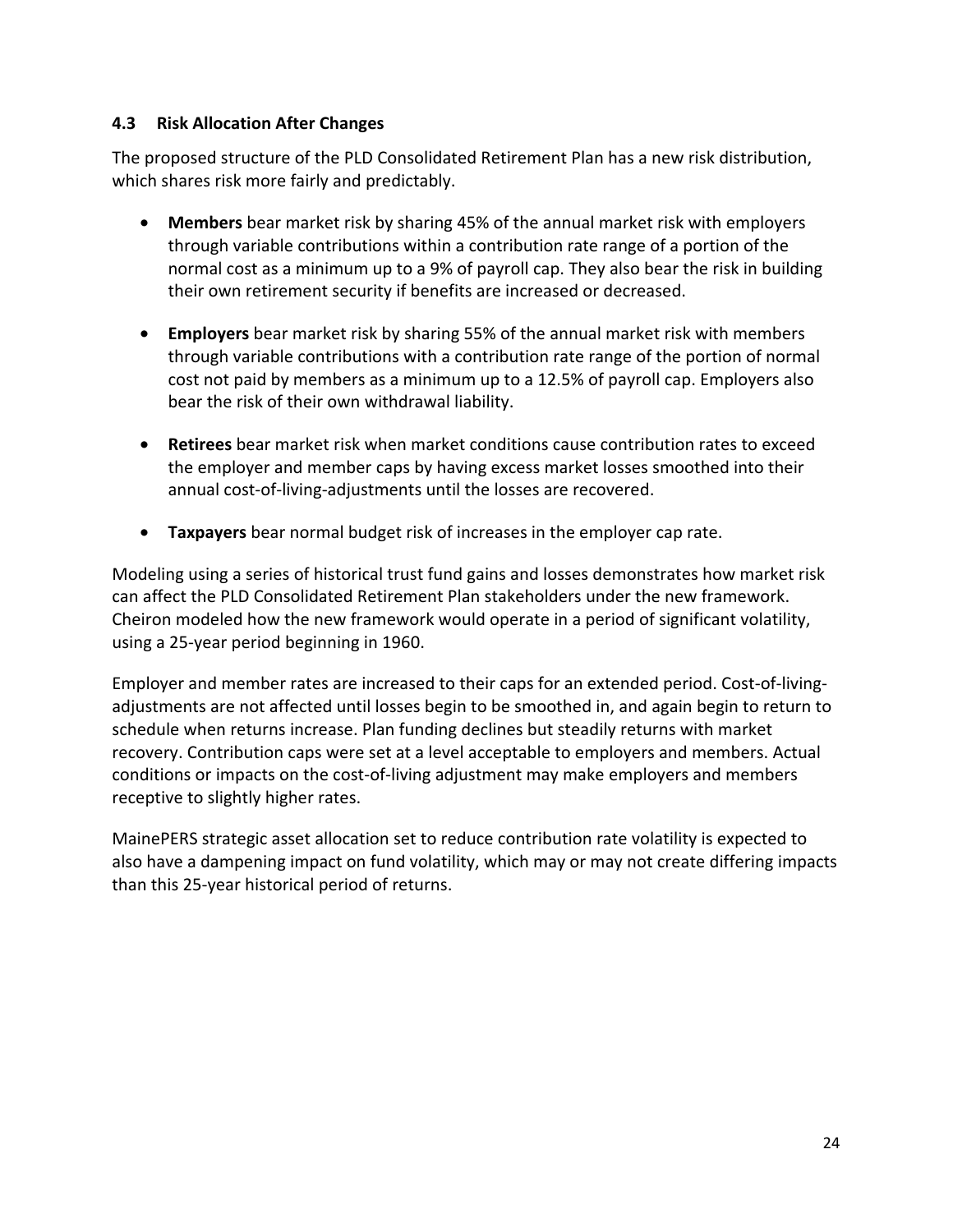### **4.3 Risk Allocation After Changes**

The proposed structure of the PLD Consolidated Retirement Plan has a new risk distribution, which shares risk more fairly and predictably.

- **Members** bear market risk by sharing 45% of the annual market risk with employers through variable contributions within a contribution rate range of a portion of the normal cost as a minimum up to a 9% of payroll cap. They also bear the risk in building their own retirement security if benefits are increased or decreased.
- **Employers** bear market risk by sharing 55% of the annual market risk with members through variable contributions with a contribution rate range of the portion of normal cost not paid by members as a minimum up to a 12.5% of payroll cap. Employers also bear the risk of their own withdrawal liability.
- **Retirees** bear market risk when market conditions cause contribution rates to exceed the employer and member caps by having excess market losses smoothed into their annual cost-of-living-adjustments until the losses are recovered.
- **Taxpayers** bear normal budget risk of increases in the employer cap rate.

Modeling using a series of historical trust fund gains and losses demonstrates how market risk can affect the PLD Consolidated Retirement Plan stakeholders under the new framework. Cheiron modeled how the new framework would operate in a period of significant volatility, using a 25-year period beginning in 1960.

Employer and member rates are increased to their caps for an extended period. Cost-of-livingadjustments are not affected until losses begin to be smoothed in, and again begin to return to schedule when returns increase. Plan funding declines but steadily returns with market recovery. Contribution caps were set at a level acceptable to employers and members. Actual conditions or impacts on the cost-of-living adjustment may make employers and members receptive to slightly higher rates.

MainePERS strategic asset allocation set to reduce contribution rate volatility is expected to also have a dampening impact on fund volatility, which may or may not create differing impacts than this 25-year historical period of returns.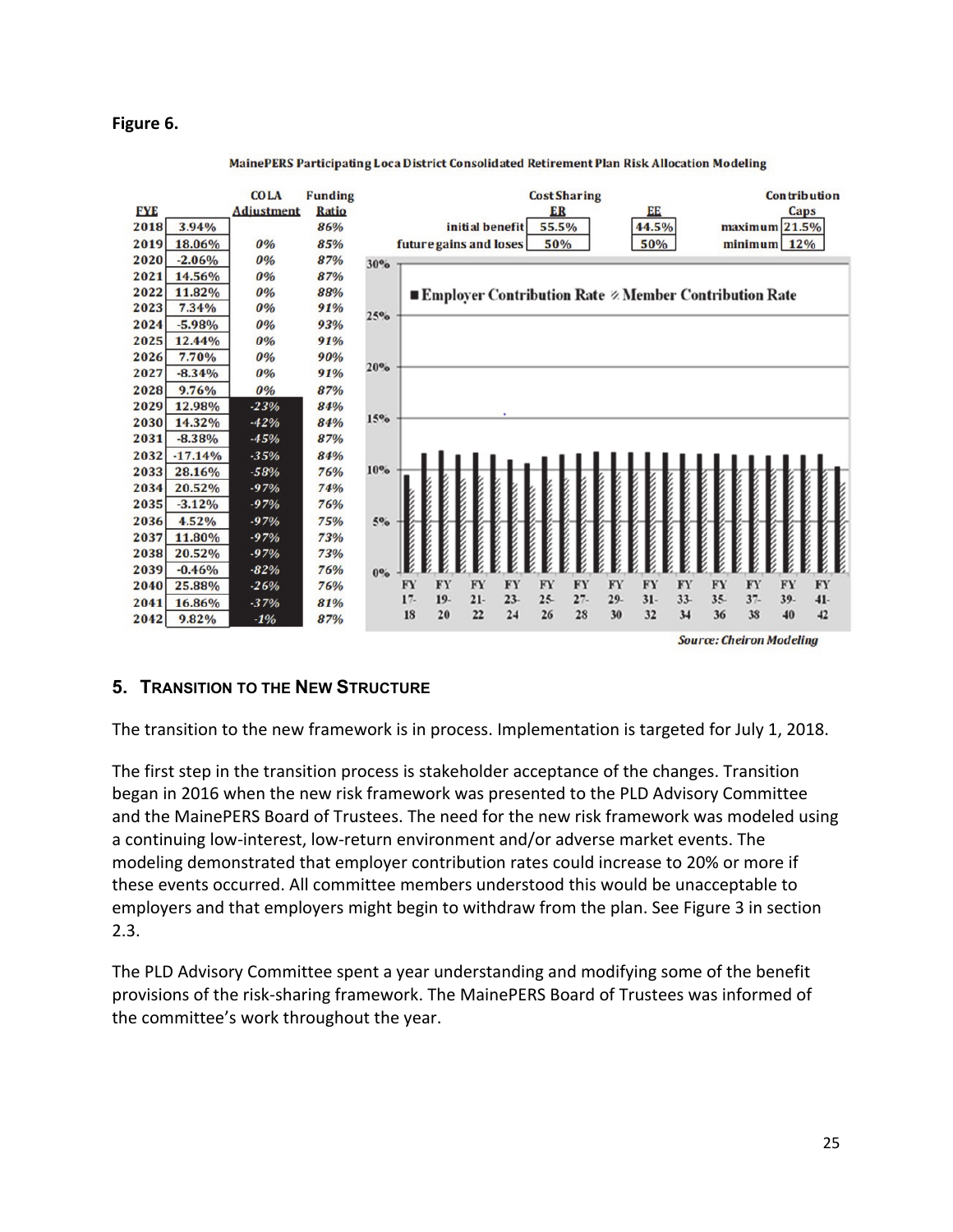#### **Figure 6.**



#### MainePERS Participating Loca District Consolidated Retirement Plan Risk Allocation Modeling

**Source: Cheiron Modeling** 

### **5. TRANSITION TO THE NEW STRUCTURE**

The transition to the new framework is in process. Implementation is targeted for July 1, 2018.

The first step in the transition process is stakeholder acceptance of the changes. Transition began in 2016 when the new risk framework was presented to the PLD Advisory Committee and the MainePERS Board of Trustees. The need for the new risk framework was modeled using a continuing low-interest, low-return environment and/or adverse market events. The modeling demonstrated that employer contribution rates could increase to 20% or more if these events occurred. All committee members understood this would be unacceptable to employers and that employers might begin to withdraw from the plan. See Figure 3 in section 2.3.

The PLD Advisory Committee spent a year understanding and modifying some of the benefit provisions of the risk-sharing framework. The MainePERS Board of Trustees was informed of the committee's work throughout the year.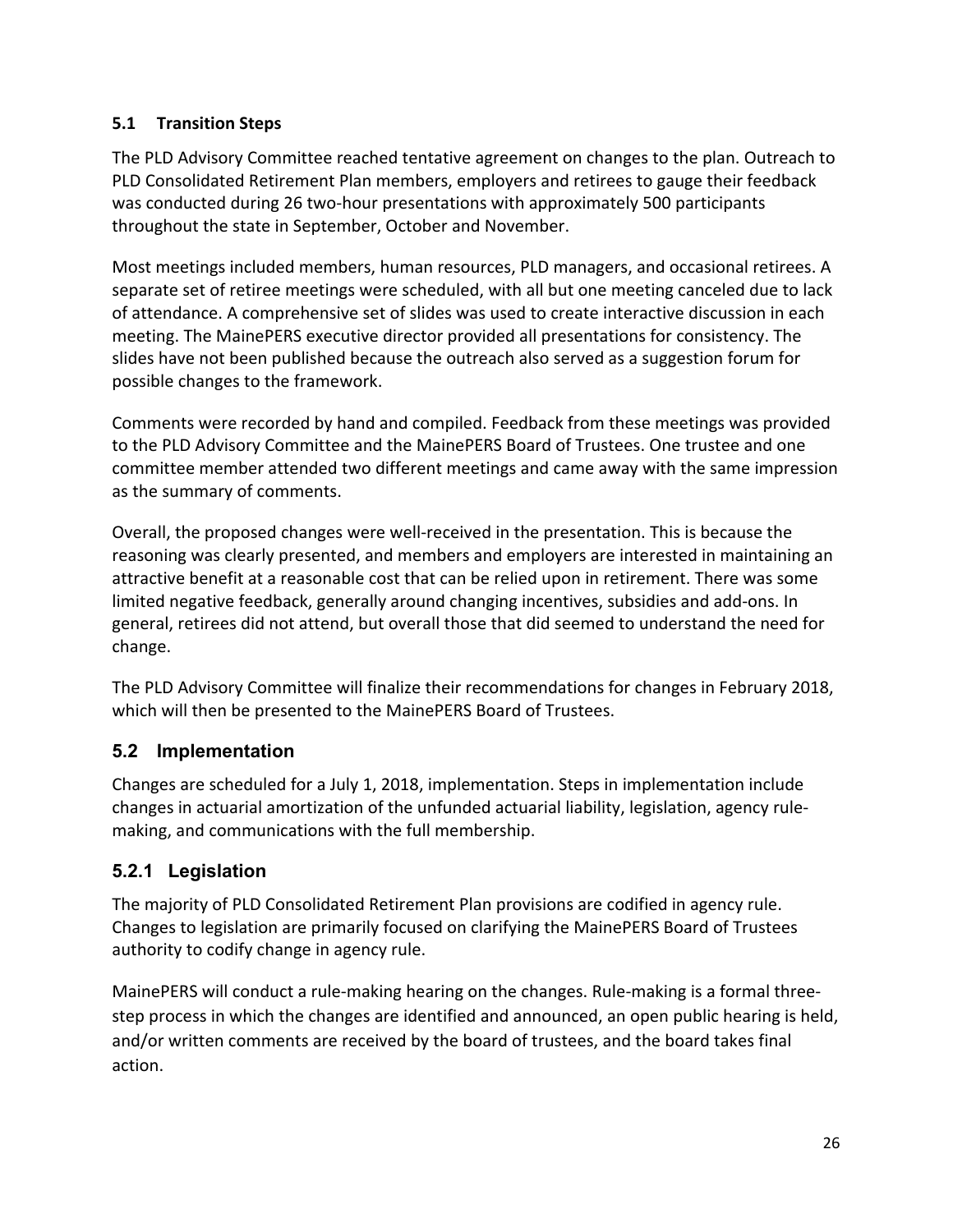# **5.1 Transition Steps**

The PLD Advisory Committee reached tentative agreement on changes to the plan. Outreach to PLD Consolidated Retirement Plan members, employers and retirees to gauge their feedback was conducted during 26 two-hour presentations with approximately 500 participants throughout the state in September, October and November.

Most meetings included members, human resources, PLD managers, and occasional retirees. A separate set of retiree meetings were scheduled, with all but one meeting canceled due to lack of attendance. A comprehensive set of slides was used to create interactive discussion in each meeting. The MainePERS executive director provided all presentations for consistency. The slides have not been published because the outreach also served as a suggestion forum for possible changes to the framework.

Comments were recorded by hand and compiled. Feedback from these meetings was provided to the PLD Advisory Committee and the MainePERS Board of Trustees. One trustee and one committee member attended two different meetings and came away with the same impression as the summary of comments.

Overall, the proposed changes were well-received in the presentation. This is because the reasoning was clearly presented, and members and employers are interested in maintaining an attractive benefit at a reasonable cost that can be relied upon in retirement. There was some limited negative feedback, generally around changing incentives, subsidies and add-ons. In general, retirees did not attend, but overall those that did seemed to understand the need for change.

The PLD Advisory Committee will finalize their recommendations for changes in February 2018, which will then be presented to the MainePERS Board of Trustees.

# **5.2 Implementation**

Changes are scheduled for a July 1, 2018, implementation. Steps in implementation include changes in actuarial amortization of the unfunded actuarial liability, legislation, agency rulemaking, and communications with the full membership.

# **5.2.1 Legislation**

The majority of PLD Consolidated Retirement Plan provisions are codified in agency rule. Changes to legislation are primarily focused on clarifying the MainePERS Board of Trustees authority to codify change in agency rule.

MainePERS will conduct a rule-making hearing on the changes. Rule-making is a formal threestep process in which the changes are identified and announced, an open public hearing is held, and/or written comments are received by the board of trustees, and the board takes final action.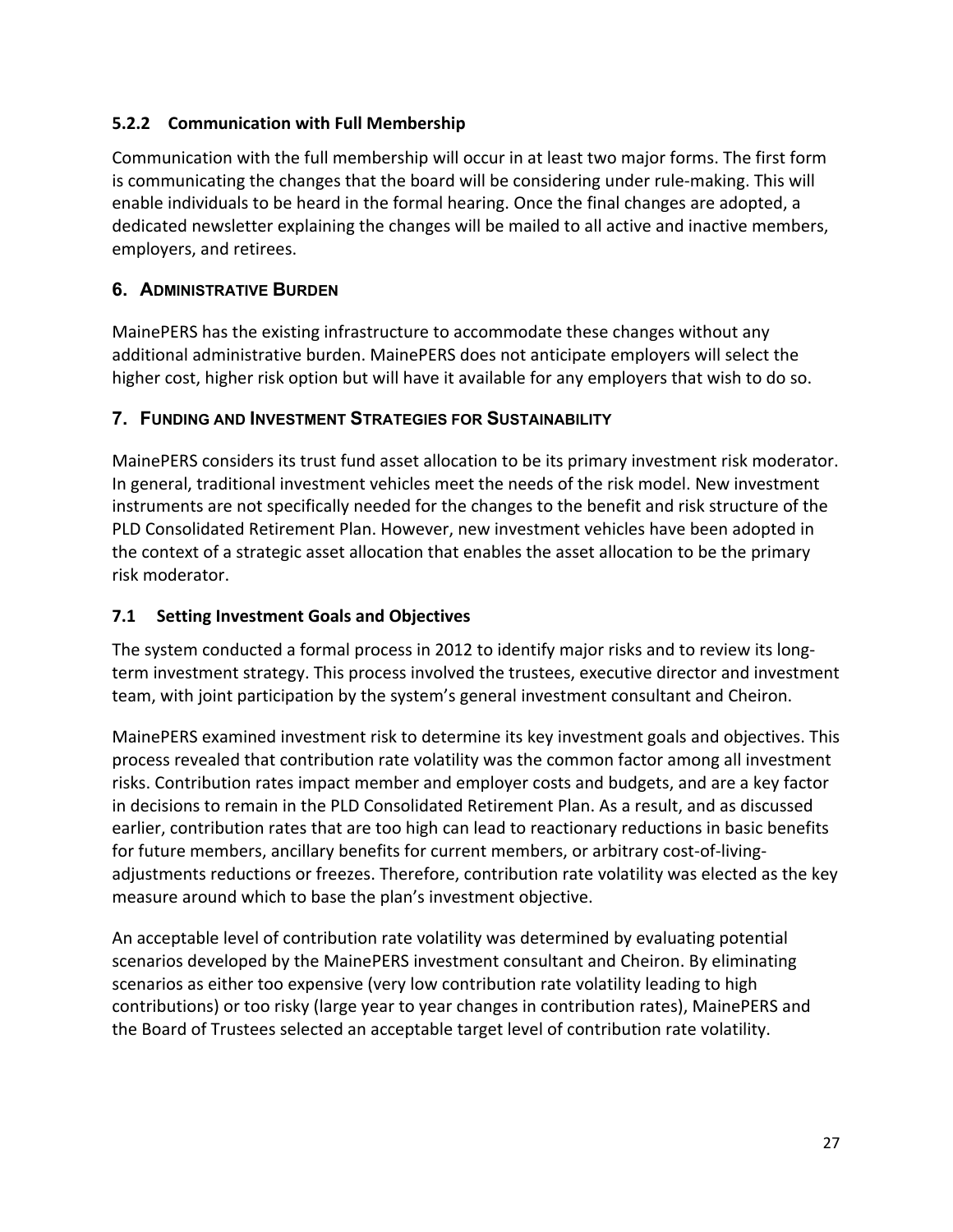# **5.2.2 Communication with Full Membership**

Communication with the full membership will occur in at least two major forms. The first form is communicating the changes that the board will be considering under rule-making. This will enable individuals to be heard in the formal hearing. Once the final changes are adopted, a dedicated newsletter explaining the changes will be mailed to all active and inactive members, employers, and retirees.

# **6. ADMINISTRATIVE BURDEN**

MainePERS has the existing infrastructure to accommodate these changes without any additional administrative burden. MainePERS does not anticipate employers will select the higher cost, higher risk option but will have it available for any employers that wish to do so.

# **7. FUNDING AND INVESTMENT STRATEGIES FOR SUSTAINABILITY**

MainePERS considers its trust fund asset allocation to be its primary investment risk moderator. In general, traditional investment vehicles meet the needs of the risk model. New investment instruments are not specifically needed for the changes to the benefit and risk structure of the PLD Consolidated Retirement Plan. However, new investment vehicles have been adopted in the context of a strategic asset allocation that enables the asset allocation to be the primary risk moderator.

# **7.1 Setting Investment Goals and Objectives**

The system conducted a formal process in 2012 to identify major risks and to review its longterm investment strategy. This process involved the trustees, executive director and investment team, with joint participation by the system's general investment consultant and Cheiron.

MainePERS examined investment risk to determine its key investment goals and objectives. This process revealed that contribution rate volatility was the common factor among all investment risks. Contribution rates impact member and employer costs and budgets, and are a key factor in decisions to remain in the PLD Consolidated Retirement Plan. As a result, and as discussed earlier, contribution rates that are too high can lead to reactionary reductions in basic benefits for future members, ancillary benefits for current members, or arbitrary cost-of-livingadjustments reductions or freezes. Therefore, contribution rate volatility was elected as the key measure around which to base the plan's investment objective.

An acceptable level of contribution rate volatility was determined by evaluating potential scenarios developed by the MainePERS investment consultant and Cheiron. By eliminating scenarios as either too expensive (very low contribution rate volatility leading to high contributions) or too risky (large year to year changes in contribution rates), MainePERS and the Board of Trustees selected an acceptable target level of contribution rate volatility.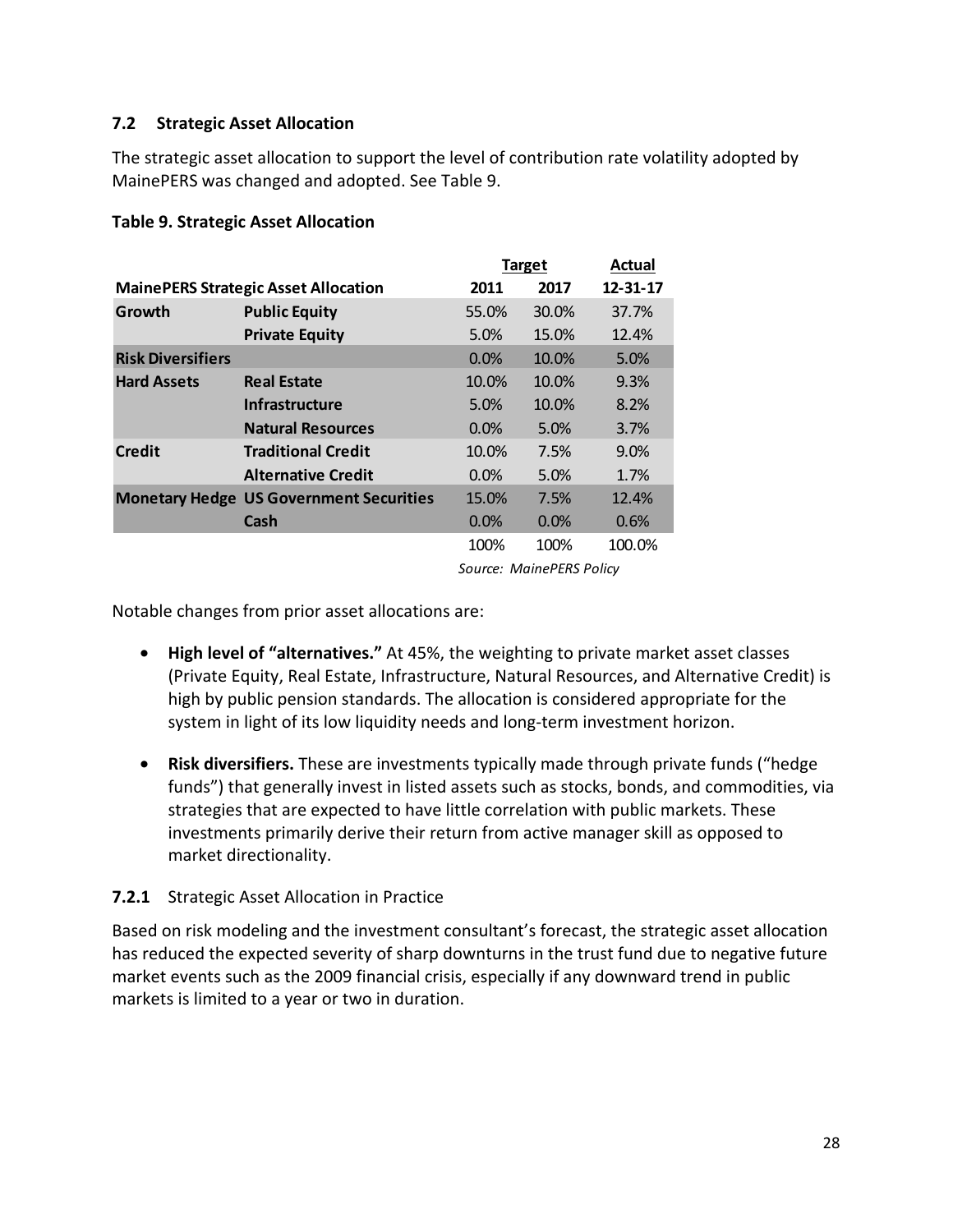### **7.2 Strategic Asset Allocation**

The strategic asset allocation to support the level of contribution rate volatility adopted by MainePERS was changed and adopted. See Table 9.

#### **Table 9. Strategic Asset Allocation**

|                          |                                                                                                                                                | Target                                       | Actual |          |  |  |  |  |
|--------------------------|------------------------------------------------------------------------------------------------------------------------------------------------|----------------------------------------------|--------|----------|--|--|--|--|
|                          | <b>MainePERS Strategic Asset Allocation</b>                                                                                                    | 2011                                         | 2017   | 12-31-17 |  |  |  |  |
| Growth                   | <b>Public Equity</b>                                                                                                                           | 55.0%                                        | 30.0%  | 37.7%    |  |  |  |  |
|                          | <b>Private Equity</b>                                                                                                                          | 5.0%                                         | 15.0%  | 12.4%    |  |  |  |  |
| <b>Risk Diversifiers</b> | 0.0%<br><b>Real Estate</b><br>10.0%<br><b>Infrastructure</b><br>5.0%<br><b>Natural Resources</b><br>0.0%<br><b>Traditional Credit</b><br>10.0% |                                              | 10.0%  | 5.0%     |  |  |  |  |
| <b>Hard Assets</b>       |                                                                                                                                                |                                              | 10.0%  | 9.3%     |  |  |  |  |
|                          |                                                                                                                                                |                                              | 10.0%  | 8.2%     |  |  |  |  |
|                          |                                                                                                                                                |                                              | 5.0%   | 3.7%     |  |  |  |  |
| <b>Credit</b>            |                                                                                                                                                |                                              | 7.5%   | 9.0%     |  |  |  |  |
|                          | <b>Alternative Credit</b>                                                                                                                      | 0.0%                                         | 5.0%   | 1.7%     |  |  |  |  |
|                          | <b>Monetary Hedge US Government Securities</b>                                                                                                 | 15.0%                                        | 7.5%   | 12.4%    |  |  |  |  |
|                          | Cash                                                                                                                                           | 0.0%                                         | 0.0%   | 0.6%     |  |  |  |  |
|                          |                                                                                                                                                | 100%                                         | 100%   | 100.0%   |  |  |  |  |
|                          |                                                                                                                                                | $S_1, \ldots, S_n, \ldots, S_n, \ldots, S_n$ |        |          |  |  |  |  |

*Source: MainePERS Policy*

Notable changes from prior asset allocations are:

- **High level of "alternatives."** At 45%, the weighting to private market asset classes (Private Equity, Real Estate, Infrastructure, Natural Resources, and Alternative Credit) is high by public pension standards. The allocation is considered appropriate for the system in light of its low liquidity needs and long-term investment horizon.
- **Risk diversifiers.** These are investments typically made through private funds ("hedge funds") that generally invest in listed assets such as stocks, bonds, and commodities, via strategies that are expected to have little correlation with public markets. These investments primarily derive their return from active manager skill as opposed to market directionality.

### **7.2.1** Strategic Asset Allocation in Practice

Based on risk modeling and the investment consultant's forecast, the strategic asset allocation has reduced the expected severity of sharp downturns in the trust fund due to negative future market events such as the 2009 financial crisis, especially if any downward trend in public markets is limited to a year or two in duration.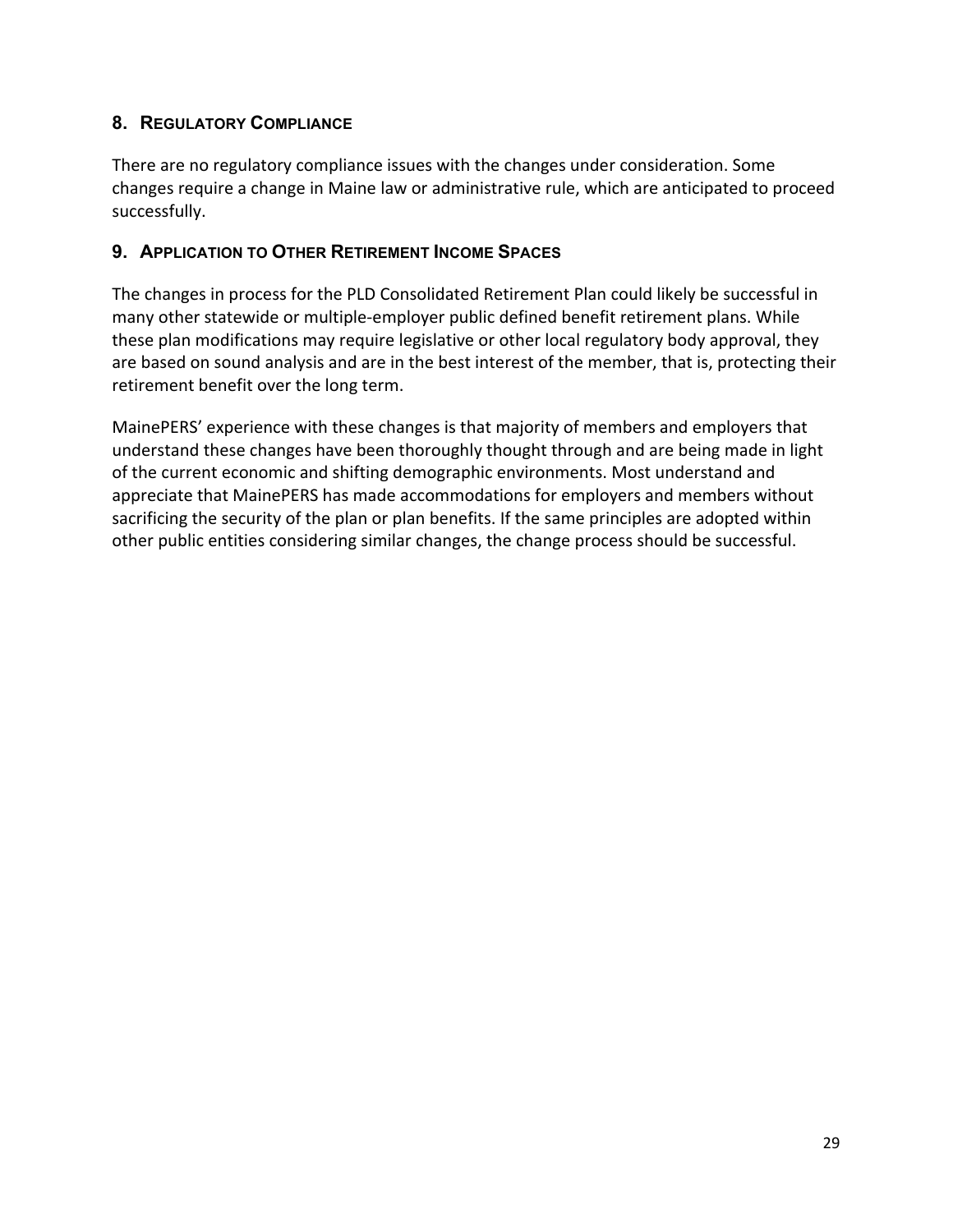# **8. REGULATORY COMPLIANCE**

There are no regulatory compliance issues with the changes under consideration. Some changes require a change in Maine law or administrative rule, which are anticipated to proceed successfully.

### **9. APPLICATION TO OTHER RETIREMENT INCOME SPACES**

The changes in process for the PLD Consolidated Retirement Plan could likely be successful in many other statewide or multiple-employer public defined benefit retirement plans. While these plan modifications may require legislative or other local regulatory body approval, they are based on sound analysis and are in the best interest of the member, that is, protecting their retirement benefit over the long term.

MainePERS' experience with these changes is that majority of members and employers that understand these changes have been thoroughly thought through and are being made in light of the current economic and shifting demographic environments. Most understand and appreciate that MainePERS has made accommodations for employers and members without sacrificing the security of the plan or plan benefits. If the same principles are adopted within other public entities considering similar changes, the change process should be successful.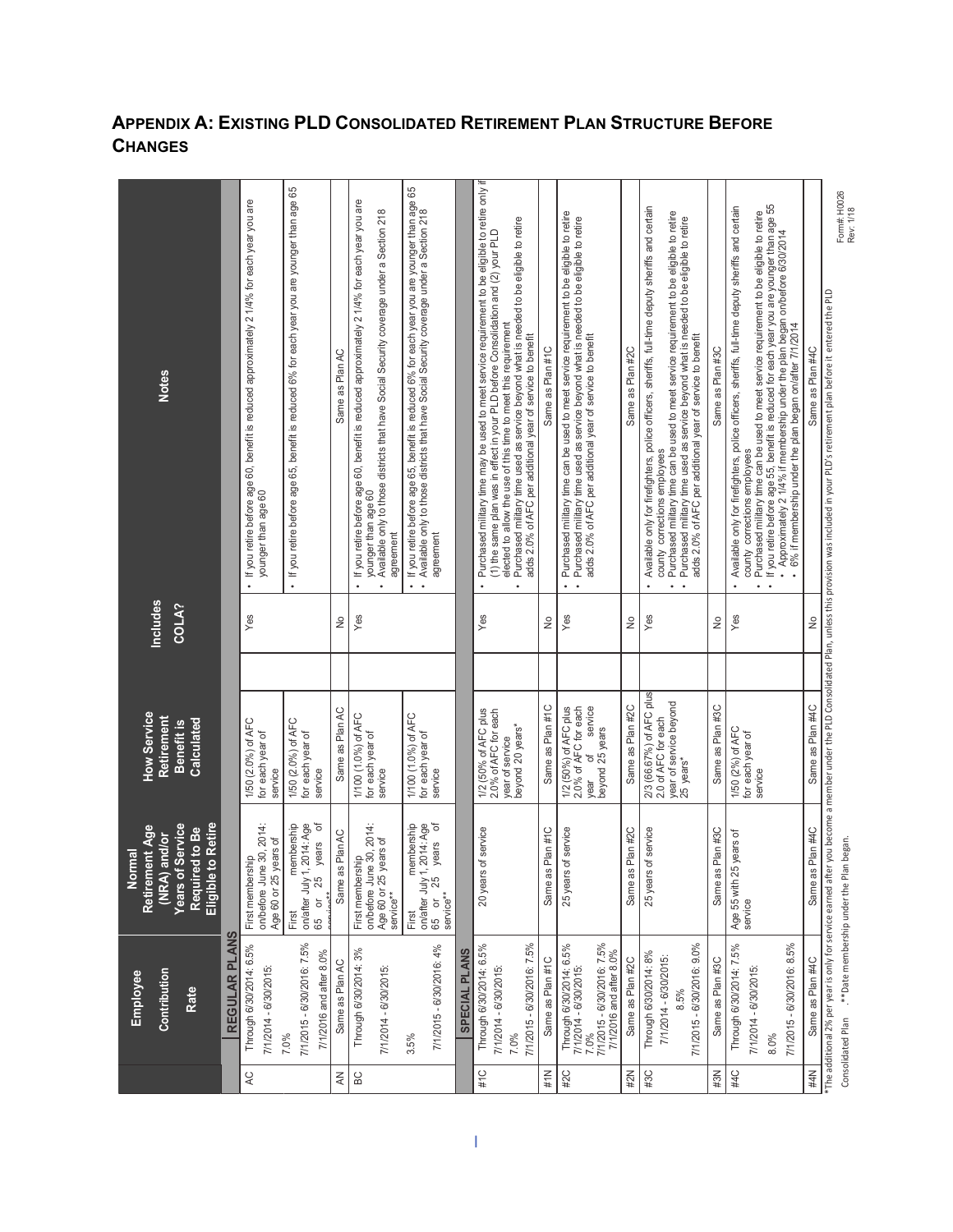| <b>Notes</b><br>Includes<br>COLA?                                                                                          |               | . If you retire before age 60, benefit is reduced approximately 2 1/4% for each year you are<br>younger than age 60<br>$Y$ es | · If you retire before age 65, benefit is reduced 6% for each year you are younger than age 65                              | Same as Plan AC<br>ş | If you retire before age 60, benefit is reduced approximately 2 1/4% for each year you are<br>Available only to those districts that have Social Security coverage under a Section 218<br>younger than age 60<br>agreement<br>$\ddot{\phantom{0}}$<br>Yes | If you retire before age 65, benefit is reduced 6% for each year you are younger than age 65<br>Available only to those districts that have Social Security coverage under a Section 218<br>agreement<br>$\bullet$ |               | Purchased military time may be used to meet service requirement to be eligible to retire only if<br>Purchased military time used as service beyond what is needed to be eligible to retire<br>(1) the same plan was in effect in your PLD before Consolidation and (2) your PLD<br>elected to allow the use of this time to meet this requirement<br>adds 2.0% of AFC per additional year of service to benefit<br>$\bullet$<br>Yes | Same as Plan #1C<br>ş | Purchased military time can be used to meet service requirement to be eligible to retire<br>Purchased military time used as service beyond what is needed to be eligible to retire<br>adds 2.0% of AFC per additional year of service to benefit<br>$\bullet$<br>$\bullet$<br>Yes<br>service | Same as Plan #2C<br>$\frac{1}{2}$ | Available only for firefighters, police officers, sheriffs, full-time deputy sheriffs and certain<br>Purchased military time can be used to meet service requirement to be eligible to retire<br>Purchased military time used as service beyond what is needed to be eligible to retire<br>adds 2.0% of AFC per additional year of service to benefit<br>county corrections employees<br>$Y$ es | Same as Plan #3C<br>ş | If you retire before age 55, benefit is reduced for each year you are younger than age 55<br>Available only for firefighters, police officers, sheriffs, full-time deputy sheriffs and certain<br>Purchased military time can be used to meet service requirement to be eligible to retire<br>Approximately 2 1/4% if membership under the plan began on/before 6/30/2014<br>6% if membership under the plan began on/after 7/1/2014<br>county corrections employees<br>$Y$ es | Same as Plan #4C<br>ž |                                                                                                                                                                                                             |
|----------------------------------------------------------------------------------------------------------------------------|---------------|-------------------------------------------------------------------------------------------------------------------------------|-----------------------------------------------------------------------------------------------------------------------------|----------------------|-----------------------------------------------------------------------------------------------------------------------------------------------------------------------------------------------------------------------------------------------------------|--------------------------------------------------------------------------------------------------------------------------------------------------------------------------------------------------------------------|---------------|-------------------------------------------------------------------------------------------------------------------------------------------------------------------------------------------------------------------------------------------------------------------------------------------------------------------------------------------------------------------------------------------------------------------------------------|-----------------------|----------------------------------------------------------------------------------------------------------------------------------------------------------------------------------------------------------------------------------------------------------------------------------------------|-----------------------------------|-------------------------------------------------------------------------------------------------------------------------------------------------------------------------------------------------------------------------------------------------------------------------------------------------------------------------------------------------------------------------------------------------|-----------------------|--------------------------------------------------------------------------------------------------------------------------------------------------------------------------------------------------------------------------------------------------------------------------------------------------------------------------------------------------------------------------------------------------------------------------------------------------------------------------------|-----------------------|-------------------------------------------------------------------------------------------------------------------------------------------------------------------------------------------------------------|
|                                                                                                                            |               |                                                                                                                               |                                                                                                                             |                      |                                                                                                                                                                                                                                                           |                                                                                                                                                                                                                    |               |                                                                                                                                                                                                                                                                                                                                                                                                                                     |                       |                                                                                                                                                                                                                                                                                              |                                   |                                                                                                                                                                                                                                                                                                                                                                                                 |                       |                                                                                                                                                                                                                                                                                                                                                                                                                                                                                |                       | The additional 2% per year is only for service earned after you become a member under the PLD Consolidated Plan, unless this provision was included in your PLD's retirement plan before it entered the PLD |
| How Service<br>Retirement<br>Calculated<br>Benefit is                                                                      |               | 1/50 (2.0%) of AFC<br>for each year of<br>service                                                                             | 1/50 (2.0%) of AFC<br>for each year of<br>service                                                                           | Same as Plan AC      | 1/100 (1.0%) of AFC<br>for each year of<br>service                                                                                                                                                                                                        | 1/100 (1.0%) of AFC<br>for each year of<br>service                                                                                                                                                                 |               | 1/2 (50% of AFC plus<br>2.0% of AFC for each<br>beyond 20 years*<br>year of service                                                                                                                                                                                                                                                                                                                                                 | Same as Plan #1C      | 2.0% of AFC for each<br>1/2 (50%) of AFC plus<br>beyond 25 years<br>đ<br>year                                                                                                                                                                                                                | Same as Plan #2C                  | 2/3 (66.67%) of AFC plus<br>year of service beyond<br>2.0 of AFC for each<br>25 years*                                                                                                                                                                                                                                                                                                          | Same as Plan #3C      | 1/50 (2%) of AFC<br>for each year of<br>service                                                                                                                                                                                                                                                                                                                                                                                                                                | Same as Plan #4C      |                                                                                                                                                                                                             |
| to Retire<br><b>Years of Service</b><br>ent Age<br>ed to Be<br>and/or<br>Normal<br>Retirem<br>(NRA)<br>Eligible<br>Require |               | on/before June 30, 2014:<br>years of<br>First membership<br>Age 60 or 25                                                      | $\overleftarrow{\mathrm{o}}$<br>,2014: Age<br>nembership<br>years<br>on/after July 1<br>25<br>$\overline{a}$<br>First<br>65 | Same as Plan AC      | on/before June 30, 2014:<br>years of<br>First membership<br>Age 60 or 25<br>service**                                                                                                                                                                     | đ<br>membership<br>,2014: Age<br>years<br>First<br>on/after July 1,<br>25<br>service**<br>$\overline{a}$<br>65                                                                                                     |               | of service<br>20 years                                                                                                                                                                                                                                                                                                                                                                                                              | Same as Plan #1C      | of service<br>25 years                                                                                                                                                                                                                                                                       | Same as Plan #2C                  | 25 years of service                                                                                                                                                                                                                                                                                                                                                                             | Same as Plan #3C      | Age 55 with 25 years of<br>service                                                                                                                                                                                                                                                                                                                                                                                                                                             | Same as Plan #4C      |                                                                                                                                                                                                             |
| Contribution<br>Employee<br>Rate                                                                                           | REGULAR PLANS | Through 6/30/2014: 6.5%<br>7/1/2014 - 6/30/2015:                                                                              | 7/1/2015 - 6/30/2016: 7.5%<br>7/1/2016 and after 8.0%<br>7.0%                                                               | Same as Plan AC      | Through 6/30/2014: 3%<br>7/1/2014 - 6/30/2015:                                                                                                                                                                                                            | 7/1/2015 - 6/30/2016: 4%<br>$3.5\%$                                                                                                                                                                                | SPECIAL PLANS | 7/1/2015 - 6/30/2016: 7.5%<br>Through 6/30/2014: 6.5%<br>7/1/2014 - 6/30/2015:<br>7.0%                                                                                                                                                                                                                                                                                                                                              | Same as Plan #1C      | 7/1/2015 - 6/30/2016: 7.5%<br>Through 6/30/2014: 6.5%<br>7/1/2016 and after 8.0%<br>7/1/2014 - 6/30/2015:<br>7.0%                                                                                                                                                                            | Same as Plan #2C                  | 7/1/2015 - 6/30/2016: 9.0%<br>Through 6/30/2014: 8%<br>7/1/2014 - 6/30/2015:<br>8.5%                                                                                                                                                                                                                                                                                                            | Same as Plan #3C      | Through 6/30/2014: 7.5%<br>7/1/2015 - 6/30/2016: 8.5%<br>7/1/2014 - 6/30/2015:<br>8.0%                                                                                                                                                                                                                                                                                                                                                                                         | Same as Plan #4C      |                                                                                                                                                                                                             |
|                                                                                                                            |               |                                                                                                                               |                                                                                                                             | $\lessapprox$        | BC                                                                                                                                                                                                                                                        |                                                                                                                                                                                                                    |               | #1C                                                                                                                                                                                                                                                                                                                                                                                                                                 | #1N                   | #2C                                                                                                                                                                                                                                                                                          | #2N                               | #3C                                                                                                                                                                                                                                                                                                                                                                                             | #3N                   | #4C                                                                                                                                                                                                                                                                                                                                                                                                                                                                            | 井V                    |                                                                                                                                                                                                             |

# **APPENDIX A: EXISTING PLD CONSOLIDATED RETIREMENT PLAN STRUCTURE BEFORE CHANGES**